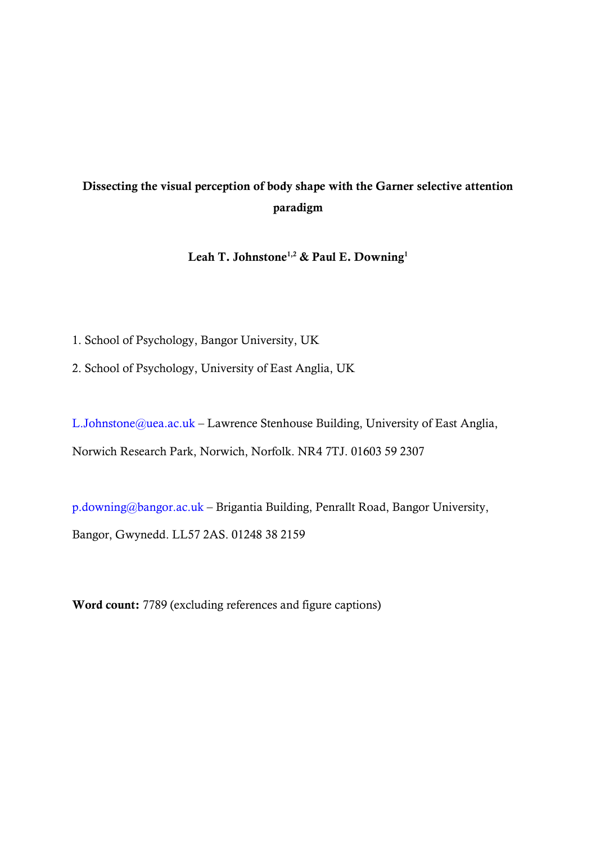# Dissecting the visual perception of body shape with the Garner selective attention paradigm

Leah T. Johnstone<sup>1,2</sup> & Paul E. Downing<sup>1</sup>

1. School of Psychology, Bangor University, UK

2. School of Psychology, University of East Anglia, UK

[L.Johnstone@uea.ac.uk](mailto:L.Johnstone@uea.ac.uk) – Lawrence Stenhouse Building, University of East Anglia, Norwich Research Park, Norwich, Norfolk. NR4 7TJ. 01603 59 2307

[p.downing@bangor.ac.uk](mailto:p.downing@bangor.ac.uk) – Brigantia Building, Penrallt Road, Bangor University, Bangor, Gwynedd. LL57 2AS. 01248 38 2159

Word count: 7789 (excluding references and figure captions)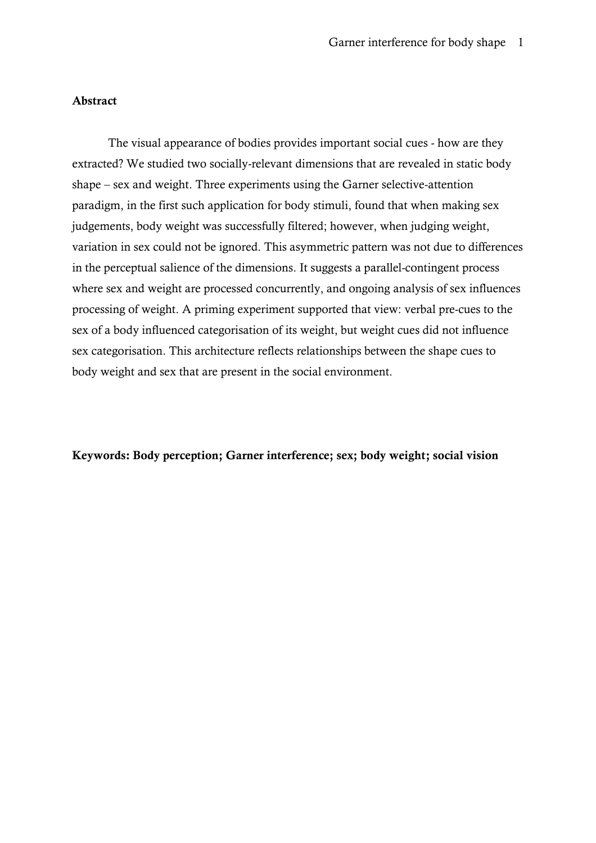## Abstract

The visual appearance of bodies provides important social cues - how are they extracted? We studied two socially-relevant dimensions that are revealed in static body shape – sex and weight. Three experiments using the Garner selective-attention paradigm, in the first such application for body stimuli, found that when making sex judgements, body weight was successfully filtered; however, when judging weight, variation in sex could not be ignored. This asymmetric pattern was not due to differences in the perceptual salience of the dimensions. It suggests a parallel-contingent process where sex and weight are processed concurrently, and ongoing analysis of sex influences processing of weight. A priming experiment supported that view: verbal pre-cues to the sex of a body influenced categorisation of its weight, but weight cues did not influence sex categorisation. This architecture reflects relationships between the shape cues to body weight and sex that are present in the social environment.

# Keywords: Body perception; Garner interference; sex; body weight; social vision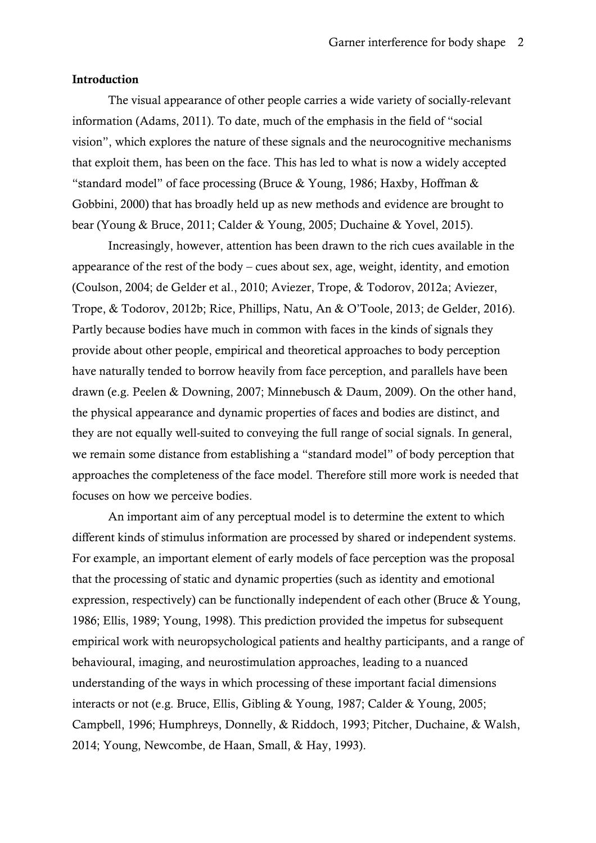#### Introduction

The visual appearance of other people carries a wide variety of socially-relevant information (Adams, 2011). To date, much of the emphasis in the field of "social vision", which explores the nature of these signals and the neurocognitive mechanisms that exploit them, has been on the face. This has led to what is now a widely accepted "standard model" of face processing (Bruce & Young, 1986; Haxby, Hoffman & Gobbini, 2000) that has broadly held up as new methods and evidence are brought to bear (Young & Bruce, 2011; Calder & Young, 2005; Duchaine & Yovel, 2015).

Increasingly, however, attention has been drawn to the rich cues available in the appearance of the rest of the body – cues about sex, age, weight, identity, and emotion (Coulson, 2004; de Gelder et al., 2010; Aviezer, Trope, & Todorov, 2012a; Aviezer, Trope, & Todorov, 2012b; Rice, Phillips, Natu, An & O'Toole, 2013; de Gelder, 2016). Partly because bodies have much in common with faces in the kinds of signals they provide about other people, empirical and theoretical approaches to body perception have naturally tended to borrow heavily from face perception, and parallels have been drawn (e.g. Peelen & Downing, 2007; Minnebusch & Daum, 2009). On the other hand, the physical appearance and dynamic properties of faces and bodies are distinct, and they are not equally well-suited to conveying the full range of social signals. In general, we remain some distance from establishing a "standard model" of body perception that approaches the completeness of the face model. Therefore still more work is needed that focuses on how we perceive bodies.

An important aim of any perceptual model is to determine the extent to which different kinds of stimulus information are processed by shared or independent systems. For example, an important element of early models of face perception was the proposal that the processing of static and dynamic properties (such as identity and emotional expression, respectively) can be functionally independent of each other (Bruce & Young, 1986; Ellis, 1989; Young, 1998). This prediction provided the impetus for subsequent empirical work with neuropsychological patients and healthy participants, and a range of behavioural, imaging, and neurostimulation approaches, leading to a nuanced understanding of the ways in which processing of these important facial dimensions interacts or not (e.g. Bruce, Ellis, Gibling & Young, 1987; Calder & Young, 2005; Campbell, 1996; Humphreys, Donnelly, & Riddoch, 1993; Pitcher, Duchaine, & Walsh, 2014; Young, Newcombe, de Haan, Small, & Hay, 1993).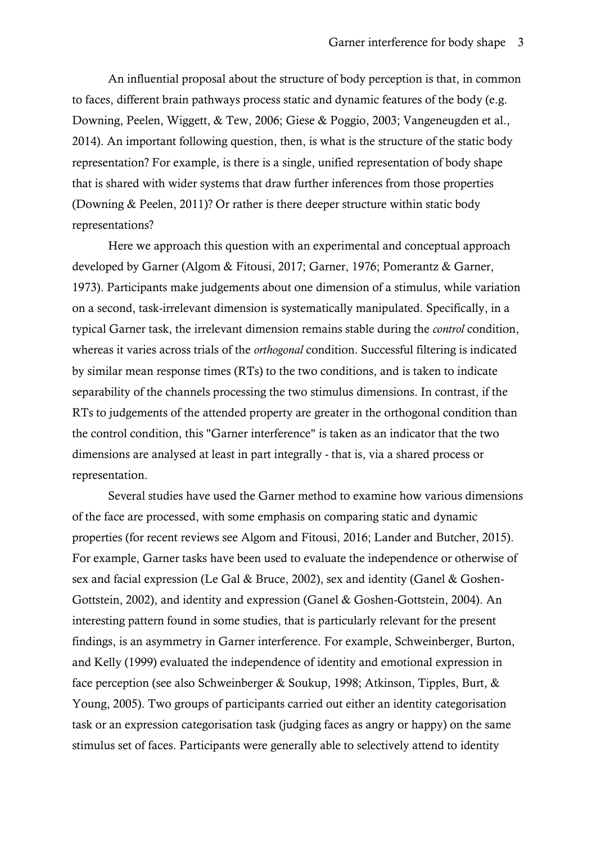An influential proposal about the structure of body perception is that, in common to faces, different brain pathways process static and dynamic features of the body (e.g. Downing, Peelen, Wiggett, & Tew, 2006; Giese & Poggio, 2003; Vangeneugden et al., 2014). An important following question, then, is what is the structure of the static body representation? For example, is there is a single, unified representation of body shape that is shared with wider systems that draw further inferences from those properties (Downing & Peelen, 2011)? Or rather is there deeper structure within static body representations?

Here we approach this question with an experimental and conceptual approach developed by Garner (Algom & Fitousi, 2017; Garner, 1976; Pomerantz & Garner, 1973). Participants make judgements about one dimension of a stimulus, while variation on a second, task-irrelevant dimension is systematically manipulated. Specifically, in a typical Garner task, the irrelevant dimension remains stable during the *control* condition, whereas it varies across trials of the *orthogonal* condition. Successful filtering is indicated by similar mean response times (RTs) to the two conditions, and is taken to indicate separability of the channels processing the two stimulus dimensions. In contrast, if the RTs to judgements of the attended property are greater in the orthogonal condition than the control condition, this "Garner interference" is taken as an indicator that the two dimensions are analysed at least in part integrally - that is, via a shared process or representation.

Several studies have used the Garner method to examine how various dimensions of the face are processed, with some emphasis on comparing static and dynamic properties (for recent reviews see Algom and Fitousi, 2016; Lander and Butcher, 2015). For example, Garner tasks have been used to evaluate the independence or otherwise of sex and facial expression (Le Gal & Bruce, 2002), sex and identity (Ganel & Goshen-Gottstein, 2002), and identity and expression (Ganel & Goshen-Gottstein, 2004). An interesting pattern found in some studies, that is particularly relevant for the present findings, is an asymmetry in Garner interference. For example, Schweinberger, Burton, and Kelly (1999) evaluated the independence of identity and emotional expression in face perception (see also Schweinberger & Soukup, 1998; Atkinson, Tipples, Burt, & Young, 2005). Two groups of participants carried out either an identity categorisation task or an expression categorisation task (judging faces as angry or happy) on the same stimulus set of faces. Participants were generally able to selectively attend to identity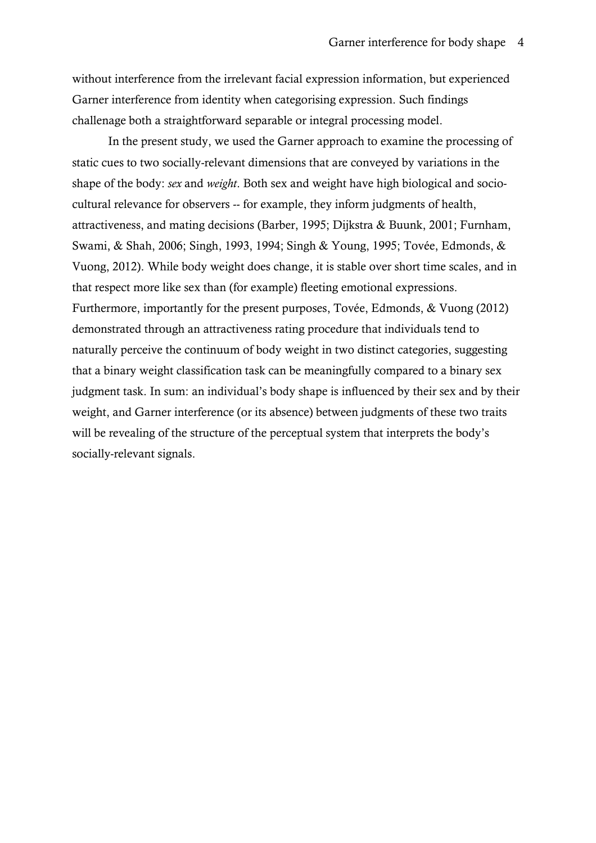without interference from the irrelevant facial expression information, but experienced Garner interference from identity when categorising expression. Such findings challenage both a straightforward separable or integral processing model.

In the present study, we used the Garner approach to examine the processing of static cues to two socially-relevant dimensions that are conveyed by variations in the shape of the body: *sex* and *weight*. Both sex and weight have high biological and sociocultural relevance for observers -- for example, they inform judgments of health, attractiveness, and mating decisions (Barber, 1995; Dijkstra & Buunk, 2001; Furnham, Swami, & Shah, 2006; Singh, 1993, 1994; Singh & Young, 1995; Tovée, Edmonds, & Vuong, 2012). While body weight does change, it is stable over short time scales, and in that respect more like sex than (for example) fleeting emotional expressions. Furthermore, importantly for the present purposes, Tovée, Edmonds, & Vuong (2012) demonstrated through an attractiveness rating procedure that individuals tend to naturally perceive the continuum of body weight in two distinct categories, suggesting that a binary weight classification task can be meaningfully compared to a binary sex judgment task. In sum: an individual's body shape is influenced by their sex and by their weight, and Garner interference (or its absence) between judgments of these two traits will be revealing of the structure of the perceptual system that interprets the body's socially-relevant signals.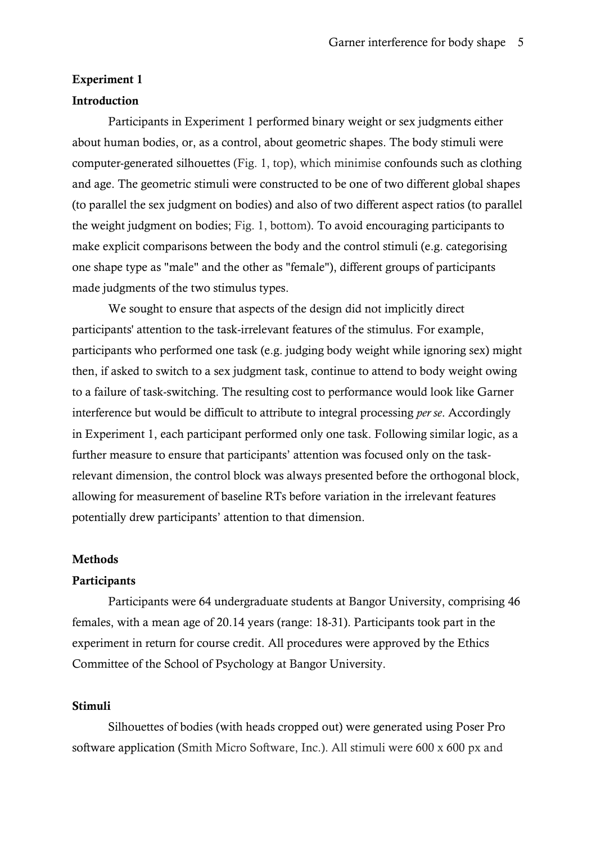#### Experiment 1

## Introduction

Participants in Experiment 1 performed binary weight or sex judgments either about human bodies, or, as a control, about geometric shapes. The body stimuli were computer-generated silhouettes (Fig. 1, top), which minimise confounds such as clothing and age. The geometric stimuli were constructed to be one of two different global shapes (to parallel the sex judgment on bodies) and also of two different aspect ratios (to parallel the weight judgment on bodies; Fig. 1, bottom). To avoid encouraging participants to make explicit comparisons between the body and the control stimuli (e.g. categorising one shape type as "male" and the other as "female"), different groups of participants made judgments of the two stimulus types.

We sought to ensure that aspects of the design did not implicitly direct participants' attention to the task-irrelevant features of the stimulus. For example, participants who performed one task (e.g. judging body weight while ignoring sex) might then, if asked to switch to a sex judgment task, continue to attend to body weight owing to a failure of task-switching. The resulting cost to performance would look like Garner interference but would be difficult to attribute to integral processing *per se*. Accordingly in Experiment 1, each participant performed only one task. Following similar logic, as a further measure to ensure that participants' attention was focused only on the taskrelevant dimension, the control block was always presented before the orthogonal block, allowing for measurement of baseline RTs before variation in the irrelevant features potentially drew participants' attention to that dimension.

#### Methods

## **Participants**

Participants were 64 undergraduate students at Bangor University, comprising 46 females, with a mean age of 20.14 years (range: 18-31). Participants took part in the experiment in return for course credit. All procedures were approved by the Ethics Committee of the School of Psychology at Bangor University.

## Stimuli

Silhouettes of bodies (with heads cropped out) were generated using Poser Pro software application (Smith Micro Software, Inc.). All stimuli were 600 x 600 px and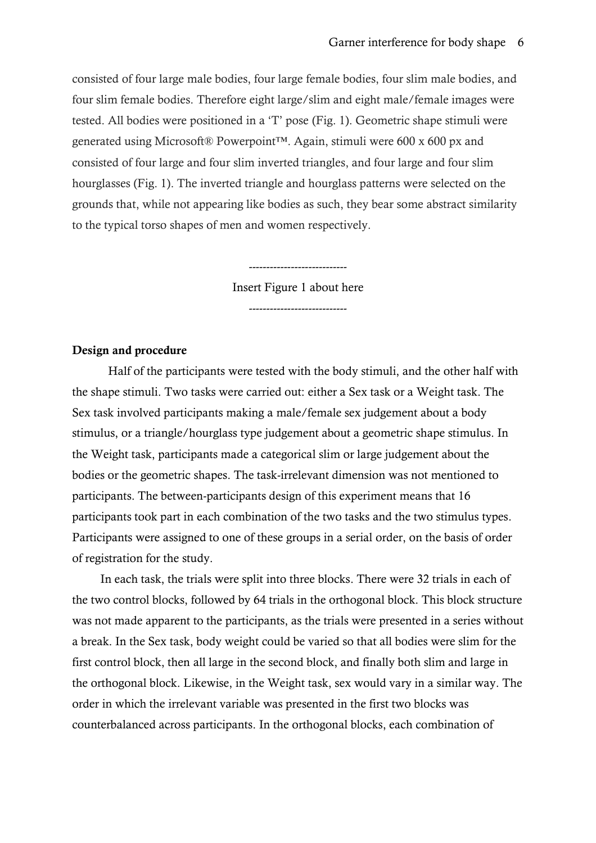consisted of four large male bodies, four large female bodies, four slim male bodies, and four slim female bodies. Therefore eight large/slim and eight male/female images were tested. All bodies were positioned in a 'T' pose (Fig. 1). Geometric shape stimuli were generated using Microsoft® Powerpoint™. Again, stimuli were 600 x 600 px and consisted of four large and four slim inverted triangles, and four large and four slim hourglasses (Fig. 1). The inverted triangle and hourglass patterns were selected on the grounds that, while not appearing like bodies as such, they bear some abstract similarity to the typical torso shapes of men and women respectively.

Insert Figure 1 about here

----------------------------

----------------------------

# Design and procedure

Half of the participants were tested with the body stimuli, and the other half with the shape stimuli. Two tasks were carried out: either a Sex task or a Weight task. The Sex task involved participants making a male/female sex judgement about a body stimulus, or a triangle/hourglass type judgement about a geometric shape stimulus. In the Weight task, participants made a categorical slim or large judgement about the bodies or the geometric shapes. The task-irrelevant dimension was not mentioned to participants. The between-participants design of this experiment means that 16 participants took part in each combination of the two tasks and the two stimulus types. Participants were assigned to one of these groups in a serial order, on the basis of order of registration for the study.

In each task, the trials were split into three blocks. There were 32 trials in each of the two control blocks, followed by 64 trials in the orthogonal block. This block structure was not made apparent to the participants, as the trials were presented in a series without a break. In the Sex task, body weight could be varied so that all bodies were slim for the first control block, then all large in the second block, and finally both slim and large in the orthogonal block. Likewise, in the Weight task, sex would vary in a similar way. The order in which the irrelevant variable was presented in the first two blocks was counterbalanced across participants. In the orthogonal blocks, each combination of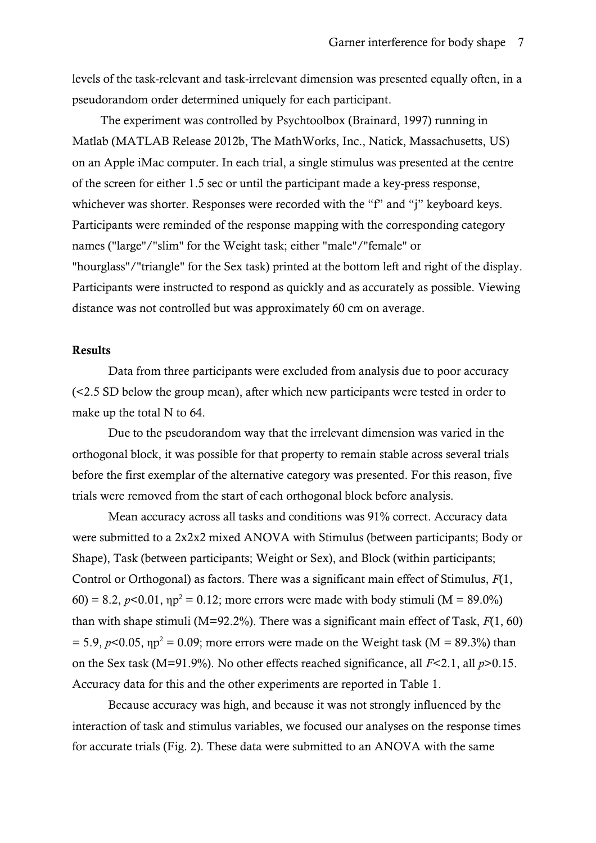levels of the task-relevant and task-irrelevant dimension was presented equally often, in a pseudorandom order determined uniquely for each participant.

The experiment was controlled by Psychtoolbox (Brainard, 1997) running in Matlab (MATLAB Release 2012b, The MathWorks, Inc., Natick, Massachusetts, US) on an Apple iMac computer. In each trial, a single stimulus was presented at the centre of the screen for either 1.5 sec or until the participant made a key-press response, whichever was shorter. Responses were recorded with the "f" and "j" keyboard keys. Participants were reminded of the response mapping with the corresponding category names ("large"/"slim" for the Weight task; either "male"/"female" or "hourglass"/"triangle" for the Sex task) printed at the bottom left and right of the display. Participants were instructed to respond as quickly and as accurately as possible. Viewing distance was not controlled but was approximately 60 cm on average.

## Results

Data from three participants were excluded from analysis due to poor accuracy (<2.5 SD below the group mean), after which new participants were tested in order to make up the total N to 64.

Due to the pseudorandom way that the irrelevant dimension was varied in the orthogonal block, it was possible for that property to remain stable across several trials before the first exemplar of the alternative category was presented. For this reason, five trials were removed from the start of each orthogonal block before analysis.

Mean accuracy across all tasks and conditions was 91% correct. Accuracy data were submitted to a 2x2x2 mixed ANOVA with Stimulus (between participants; Body or Shape), Task (between participants; Weight or Sex), and Block (within participants; Control or Orthogonal) as factors. There was a significant main effect of Stimulus, *F*(1, 60) = 8.2,  $p<0.01$ ,  $np^2 = 0.12$ ; more errors were made with body stimuli (M = 89.0%) than with shape stimuli (M=92.2%). There was a significant main effect of Task, *F*(1, 60)  $= 5.9, p<0.05, \eta p^2 = 0.09$ ; more errors were made on the Weight task (M = 89.3%) than on the Sex task (M=91.9%). No other effects reached significance, all *F*<2.1, all *p*>0.15. Accuracy data for this and the other experiments are reported in Table 1.

Because accuracy was high, and because it was not strongly influenced by the interaction of task and stimulus variables, we focused our analyses on the response times for accurate trials (Fig. 2). These data were submitted to an ANOVA with the same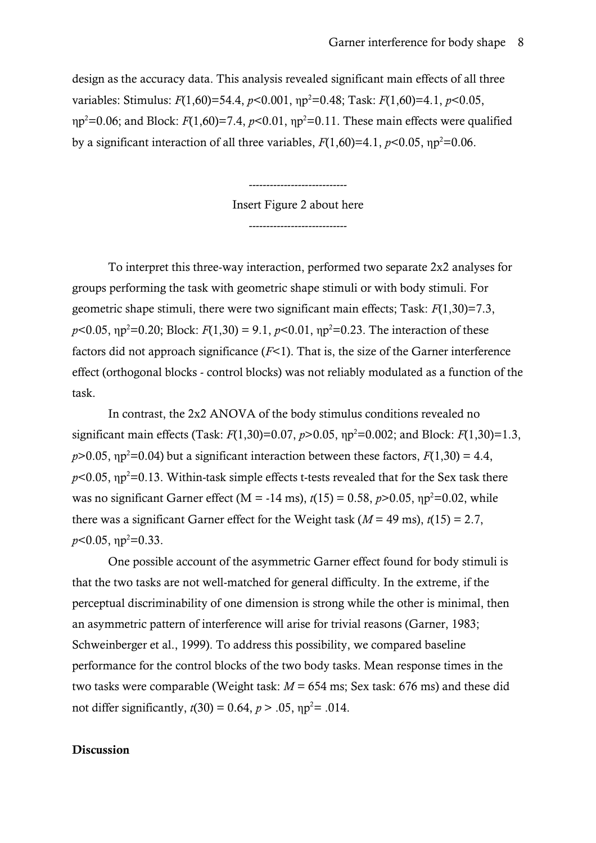design as the accuracy data. This analysis revealed significant main effects of all three variables: Stimulus: *F*(1,60)=54.4, *p*<0.001, ηp <sup>2</sup>=0.48; Task: *F*(1,60)=4.1, *p*<0.05, ηp <sup>2</sup>=0.06; and Block: *F*(1,60)=7.4, *p*<0.01, ηp <sup>2</sup>=0.11. These main effects were qualified by a significant interaction of all three variables,  $F(1,60)=4.1$ ,  $p<0.05$ ,  $np<sup>2</sup>=0.06$ .

Insert Figure 2 about here

----------------------------

----------------------------

To interpret this three-way interaction, performed two separate 2x2 analyses for groups performing the task with geometric shape stimuli or with body stimuli. For geometric shape stimuli, there were two significant main effects; Task: *F*(1,30)=7.3,  $p$ <0.05,  $np^2$ =0.20; Block:  $F(1,30) = 9.1$ ,  $p$ <0.01,  $np^2$ =0.23. The interaction of these factors did not approach significance  $(F<1)$ . That is, the size of the Garner interference effect (orthogonal blocks - control blocks) was not reliably modulated as a function of the task.

In contrast, the 2x2 ANOVA of the body stimulus conditions revealed no significant main effects (Task: *F*(1,30)=0.07, *p*>0.05, ηp <sup>2</sup>=0.002; and Block: *F*(1,30)=1.3,  $p$ >0.05,  $np$ <sup>2</sup>=0.04) but a significant interaction between these factors,  $F(1,30) = 4.4$ ,  $p$ <0.05,  $np$ <sup>2</sup>=0.13. Within-task simple effects t-tests revealed that for the Sex task there was no significant Garner effect (M = -14 ms),  $t(15) = 0.58$ ,  $p > 0.05$ ,  $np^2 = 0.02$ , while there was a significant Garner effect for the Weight task ( $M = 49$  ms),  $t(15) = 2.7$ , *p*<0.05, ηp<sup>2</sup>=0.33.

One possible account of the asymmetric Garner effect found for body stimuli is that the two tasks are not well-matched for general difficulty. In the extreme, if the perceptual discriminability of one dimension is strong while the other is minimal, then an asymmetric pattern of interference will arise for trivial reasons (Garner, 1983; Schweinberger et al., 1999). To address this possibility, we compared baseline performance for the control blocks of the two body tasks. Mean response times in the two tasks were comparable (Weight task: *M* = 654 ms; Sex task: 676 ms) and these did not differ significantly,  $t(30) = 0.64$ ,  $p > .05$ ,  $np^2 = .014$ .

# Discussion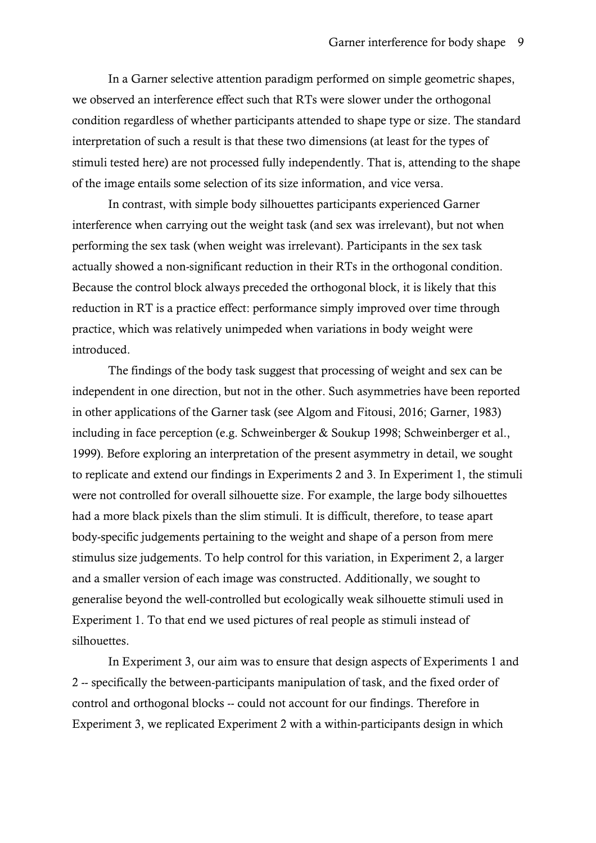In a Garner selective attention paradigm performed on simple geometric shapes, we observed an interference effect such that RTs were slower under the orthogonal condition regardless of whether participants attended to shape type or size. The standard interpretation of such a result is that these two dimensions (at least for the types of stimuli tested here) are not processed fully independently. That is, attending to the shape of the image entails some selection of its size information, and vice versa.

In contrast, with simple body silhouettes participants experienced Garner interference when carrying out the weight task (and sex was irrelevant), but not when performing the sex task (when weight was irrelevant). Participants in the sex task actually showed a non-significant reduction in their RTs in the orthogonal condition. Because the control block always preceded the orthogonal block, it is likely that this reduction in RT is a practice effect: performance simply improved over time through practice, which was relatively unimpeded when variations in body weight were introduced.

The findings of the body task suggest that processing of weight and sex can be independent in one direction, but not in the other. Such asymmetries have been reported in other applications of the Garner task (see Algom and Fitousi, 2016; Garner, 1983) including in face perception (e.g. Schweinberger & Soukup 1998; Schweinberger et al., 1999). Before exploring an interpretation of the present asymmetry in detail, we sought to replicate and extend our findings in Experiments 2 and 3. In Experiment 1, the stimuli were not controlled for overall silhouette size. For example, the large body silhouettes had a more black pixels than the slim stimuli. It is difficult, therefore, to tease apart body-specific judgements pertaining to the weight and shape of a person from mere stimulus size judgements. To help control for this variation, in Experiment 2, a larger and a smaller version of each image was constructed. Additionally, we sought to generalise beyond the well-controlled but ecologically weak silhouette stimuli used in Experiment 1. To that end we used pictures of real people as stimuli instead of silhouettes.

In Experiment 3, our aim was to ensure that design aspects of Experiments 1 and 2 -- specifically the between-participants manipulation of task, and the fixed order of control and orthogonal blocks -- could not account for our findings. Therefore in Experiment 3, we replicated Experiment 2 with a within-participants design in which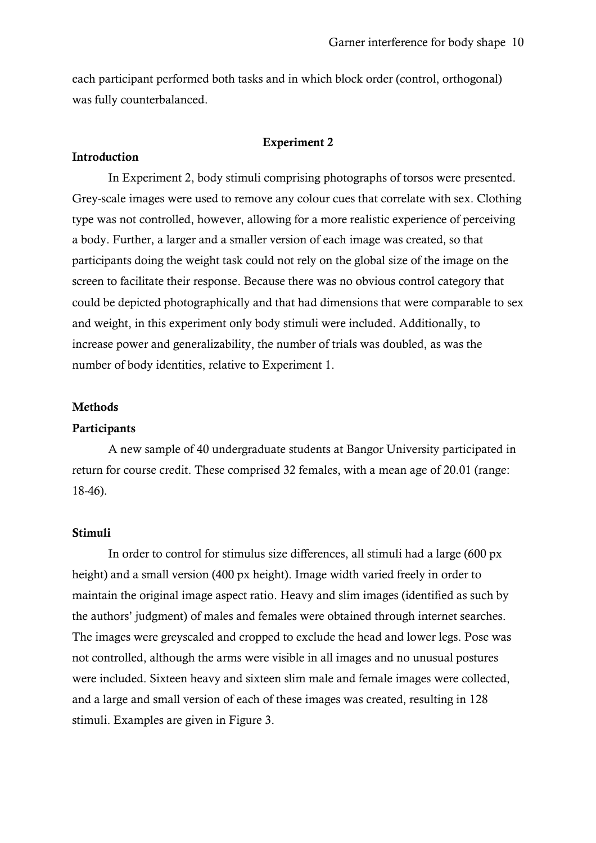each participant performed both tasks and in which block order (control, orthogonal) was fully counterbalanced.

## Experiment 2

#### Introduction

In Experiment 2, body stimuli comprising photographs of torsos were presented. Grey-scale images were used to remove any colour cues that correlate with sex. Clothing type was not controlled, however, allowing for a more realistic experience of perceiving a body. Further, a larger and a smaller version of each image was created, so that participants doing the weight task could not rely on the global size of the image on the screen to facilitate their response. Because there was no obvious control category that could be depicted photographically and that had dimensions that were comparable to sex and weight, in this experiment only body stimuli were included. Additionally, to increase power and generalizability, the number of trials was doubled, as was the number of body identities, relative to Experiment 1.

#### Methods

#### **Participants**

A new sample of 40 undergraduate students at Bangor University participated in return for course credit. These comprised 32 females, with a mean age of 20.01 (range: 18-46).

#### Stimuli

In order to control for stimulus size differences, all stimuli had a large (600 px height) and a small version (400 px height). Image width varied freely in order to maintain the original image aspect ratio. Heavy and slim images (identified as such by the authors' judgment) of males and females were obtained through internet searches. The images were greyscaled and cropped to exclude the head and lower legs. Pose was not controlled, although the arms were visible in all images and no unusual postures were included. Sixteen heavy and sixteen slim male and female images were collected, and a large and small version of each of these images was created, resulting in 128 stimuli. Examples are given in Figure 3.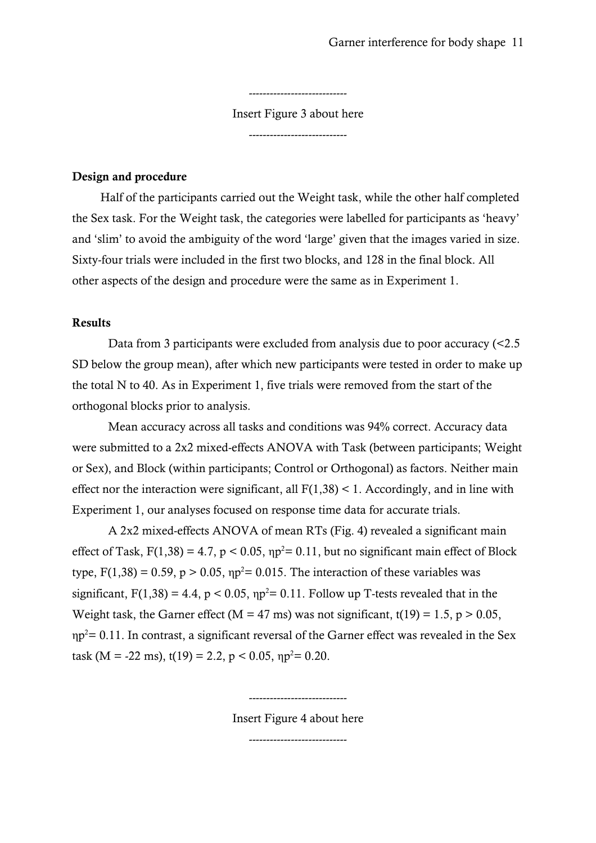----------------------------

Insert Figure 3 about here

----------------------------

# Design and procedure

Half of the participants carried out the Weight task, while the other half completed the Sex task. For the Weight task, the categories were labelled for participants as 'heavy' and 'slim' to avoid the ambiguity of the word 'large' given that the images varied in size. Sixty-four trials were included in the first two blocks, and 128 in the final block. All other aspects of the design and procedure were the same as in Experiment 1.

# Results

Data from 3 participants were excluded from analysis due to poor accuracy (<2.5 SD below the group mean), after which new participants were tested in order to make up the total N to 40. As in Experiment 1, five trials were removed from the start of the orthogonal blocks prior to analysis.

Mean accuracy across all tasks and conditions was 94% correct. Accuracy data were submitted to a 2x2 mixed-effects ANOVA with Task (between participants; Weight or Sex), and Block (within participants; Control or Orthogonal) as factors. Neither main effect nor the interaction were significant, all  $F(1,38) < 1$ . Accordingly, and in line with Experiment 1, our analyses focused on response time data for accurate trials.

A 2x2 mixed-effects ANOVA of mean RTs (Fig. 4) revealed a significant main effect of Task,  $F(1,38) = 4.7$ ,  $p < 0.05$ ,  $np^2 = 0.11$ , but no significant main effect of Block type,  $F(1,38) = 0.59$ ,  $p > 0.05$ ,  $np^2 = 0.015$ . The interaction of these variables was significant,  $F(1,38) = 4.4$ ,  $p < 0.05$ ,  $np^2 = 0.11$ . Follow up T-tests revealed that in the Weight task, the Garner effect (M = 47 ms) was not significant,  $t(19) = 1.5$ ,  $p > 0.05$ ,  $np^2$  = 0.11. In contrast, a significant reversal of the Garner effect was revealed in the Sex task (M = -22 ms),  $t(19) = 2.2$ ,  $p < 0.05$ ,  $np^2 = 0.20$ .

Insert Figure 4 about here

----------------------------

-------------------------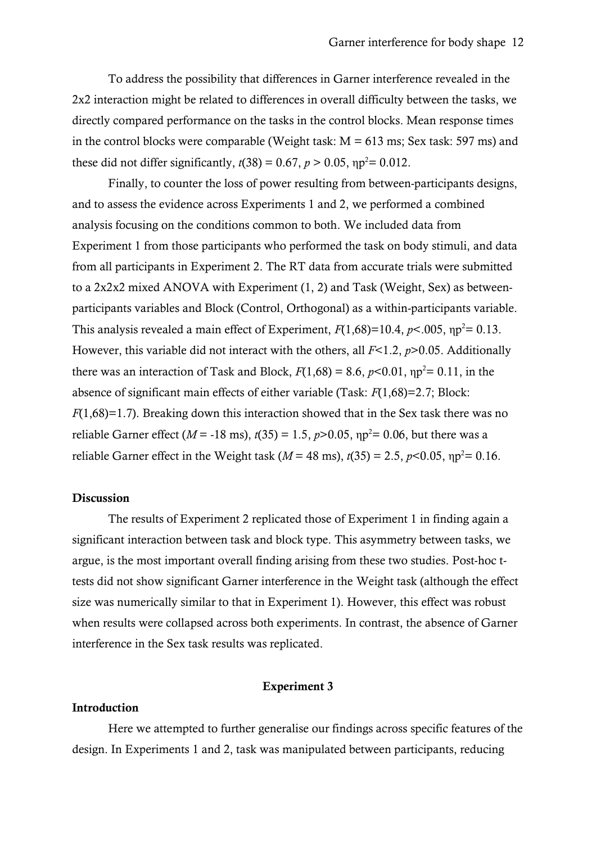To address the possibility that differences in Garner interference revealed in the 2x2 interaction might be related to differences in overall difficulty between the tasks, we directly compared performance on the tasks in the control blocks. Mean response times in the control blocks were comparable (Weight task:  $M = 613$  ms; Sex task: 597 ms) and these did not differ significantly,  $t(38) = 0.67$ ,  $p > 0.05$ ,  $np^2 = 0.012$ .

Finally, to counter the loss of power resulting from between-participants designs, and to assess the evidence across Experiments 1 and 2, we performed a combined analysis focusing on the conditions common to both. We included data from Experiment 1 from those participants who performed the task on body stimuli, and data from all participants in Experiment 2. The RT data from accurate trials were submitted to a 2x2x2 mixed ANOVA with Experiment (1, 2) and Task (Weight, Sex) as betweenparticipants variables and Block (Control, Orthogonal) as a within-participants variable. This analysis revealed a main effect of Experiment,  $F(1,68)=10.4$ ,  $p<.005$ ,  $np<sup>2</sup>=0.13$ . However, this variable did not interact with the others, all *F*<1.2, *p*>0.05. Additionally there was an interaction of Task and Block,  $F(1,68) = 8.6$ ,  $p<0.01$ ,  $\eta p^2 = 0.11$ , in the absence of significant main effects of either variable (Task: *F*(1,68)=2.7; Block: *F*(1,68)=1.7). Breaking down this interaction showed that in the Sex task there was no reliable Garner effect ( $M = -18$  ms),  $t(35) = 1.5$ ,  $p > 0.05$ ,  $np^2 = 0.06$ , but there was a reliable Garner effect in the Weight task ( $M = 48$  ms),  $t(35) = 2.5$ ,  $p<0.05$ ,  $np<sup>2</sup> = 0.16$ .

# Discussion

The results of Experiment 2 replicated those of Experiment 1 in finding again a significant interaction between task and block type. This asymmetry between tasks, we argue, is the most important overall finding arising from these two studies. Post-hoc ttests did not show significant Garner interference in the Weight task (although the effect size was numerically similar to that in Experiment 1). However, this effect was robust when results were collapsed across both experiments. In contrast, the absence of Garner interference in the Sex task results was replicated.

## Experiment 3

## Introduction

Here we attempted to further generalise our findings across specific features of the design. In Experiments 1 and 2, task was manipulated between participants, reducing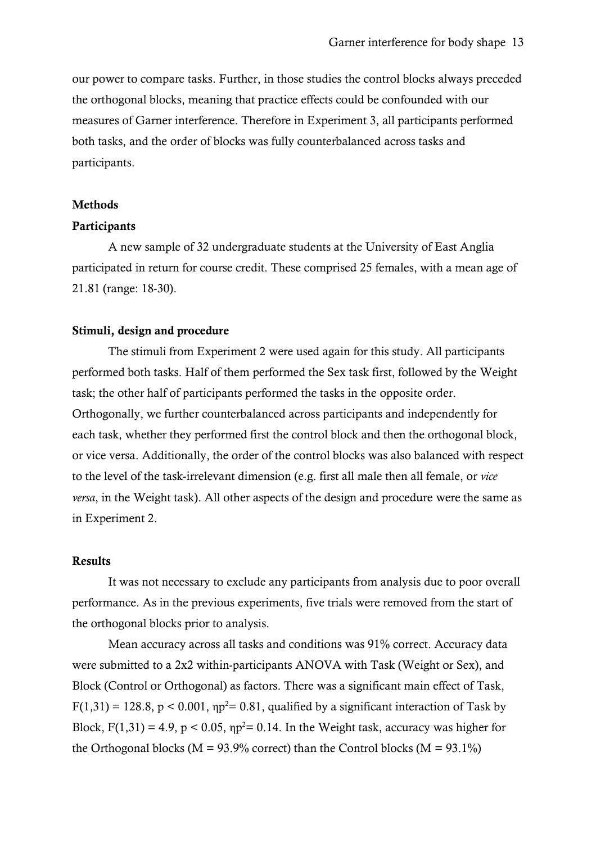our power to compare tasks. Further, in those studies the control blocks always preceded the orthogonal blocks, meaning that practice effects could be confounded with our measures of Garner interference. Therefore in Experiment 3, all participants performed both tasks, and the order of blocks was fully counterbalanced across tasks and participants.

#### Methods

# **Participants**

A new sample of 32 undergraduate students at the University of East Anglia participated in return for course credit. These comprised 25 females, with a mean age of 21.81 (range: 18-30).

# Stimuli, design and procedure

The stimuli from Experiment 2 were used again for this study. All participants performed both tasks. Half of them performed the Sex task first, followed by the Weight task; the other half of participants performed the tasks in the opposite order. Orthogonally, we further counterbalanced across participants and independently for each task, whether they performed first the control block and then the orthogonal block, or vice versa. Additionally, the order of the control blocks was also balanced with respect to the level of the task-irrelevant dimension (e.g. first all male then all female, or *vice versa*, in the Weight task). All other aspects of the design and procedure were the same as in Experiment 2.

## Results

It was not necessary to exclude any participants from analysis due to poor overall performance. As in the previous experiments, five trials were removed from the start of the orthogonal blocks prior to analysis.

Mean accuracy across all tasks and conditions was 91% correct. Accuracy data were submitted to a 2x2 within-participants ANOVA with Task (Weight or Sex), and Block (Control or Orthogonal) as factors. There was a significant main effect of Task,  $F(1,31) = 128.8$ ,  $p < 0.001$ ,  $np^2 = 0.81$ , qualified by a significant interaction of Task by Block,  $F(1,31) = 4.9$ ,  $p < 0.05$ ,  $np^2 = 0.14$ . In the Weight task, accuracy was higher for the Orthogonal blocks ( $M = 93.9\%$  correct) than the Control blocks ( $M = 93.1\%$ )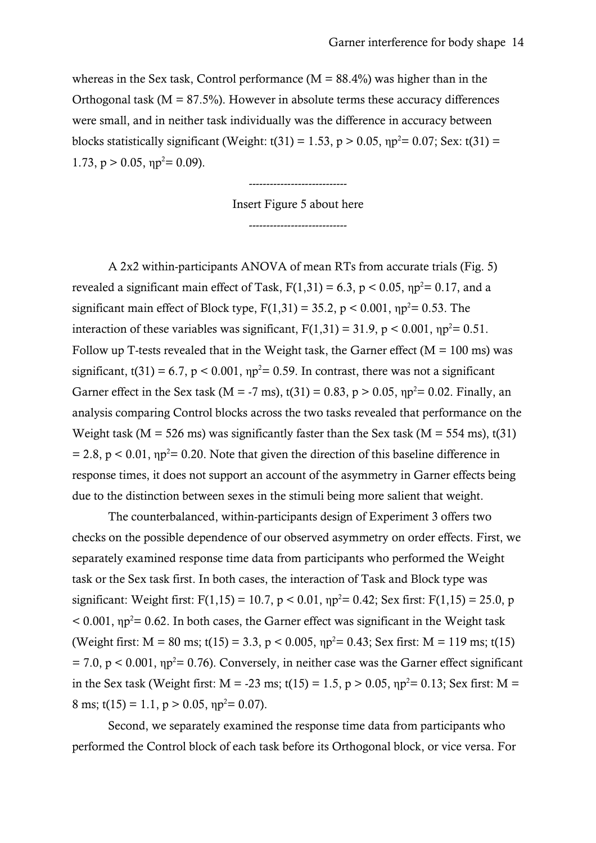whereas in the Sex task, Control performance ( $M = 88.4\%$ ) was higher than in the Orthogonal task ( $M = 87.5\%$ ). However in absolute terms these accuracy differences were small, and in neither task individually was the difference in accuracy between blocks statistically significant (Weight: t(31) = 1.53, p > 0.05,  $np^2$  = 0.07; Sex: t(31) = 1.73,  $p > 0.05$ ,  $np^2 = 0.09$ ).

> Insert Figure 5 about here ----------------------------

----------------------------

A 2x2 within-participants ANOVA of mean RTs from accurate trials (Fig. 5) revealed a significant main effect of Task,  $F(1,31) = 6.3$ ,  $p < 0.05$ ,  $np^2 = 0.17$ , and a significant main effect of Block type,  $F(1,31) = 35.2$ ,  $p < 0.001$ ,  $np^2 = 0.53$ . The interaction of these variables was significant,  $F(1,31) = 31.9$ ,  $p < 0.001$ ,  $np^2 = 0.51$ . Follow up T-tests revealed that in the Weight task, the Garner effect ( $M = 100$  ms) was significant, t(31) = 6.7,  $p < 0.001$ ,  $np^2 = 0.59$ . In contrast, there was not a significant Garner effect in the Sex task (M = -7 ms),  $t(31) = 0.83$ ,  $p > 0.05$ ,  $\eta p^2 = 0.02$ . Finally, an analysis comparing Control blocks across the two tasks revealed that performance on the Weight task ( $M = 526$  ms) was significantly faster than the Sex task ( $M = 554$  ms), t(31)  $= 2.8$ ,  $p < 0.01$ ,  $np^2 = 0.20$ . Note that given the direction of this baseline difference in response times, it does not support an account of the asymmetry in Garner effects being due to the distinction between sexes in the stimuli being more salient that weight.

The counterbalanced, within-participants design of Experiment 3 offers two checks on the possible dependence of our observed asymmetry on order effects. First, we separately examined response time data from participants who performed the Weight task or the Sex task first. In both cases, the interaction of Task and Block type was significant: Weight first:  $F(1,15) = 10.7$ ,  $p < 0.01$ ,  $np^2 = 0.42$ ; Sex first:  $F(1,15) = 25.0$ , p  $<$  0.001,  $np^2$  = 0.62. In both cases, the Garner effect was significant in the Weight task (Weight first:  $M = 80$  ms; t(15) = 3.3, p < 0.005,  $np^2 = 0.43$ ; Sex first:  $M = 119$  ms; t(15)  $= 7.0$ ,  $p < 0.001$ ,  $np^2 = 0.76$ ). Conversely, in neither case was the Garner effect significant in the Sex task (Weight first: M = -23 ms; t(15) = 1.5, p > 0.05,  $np^2$  = 0.13; Sex first: M = 8 ms; t(15) = 1.1, p > 0.05,  $np^2 = 0.07$ ).

Second, we separately examined the response time data from participants who performed the Control block of each task before its Orthogonal block, or vice versa. For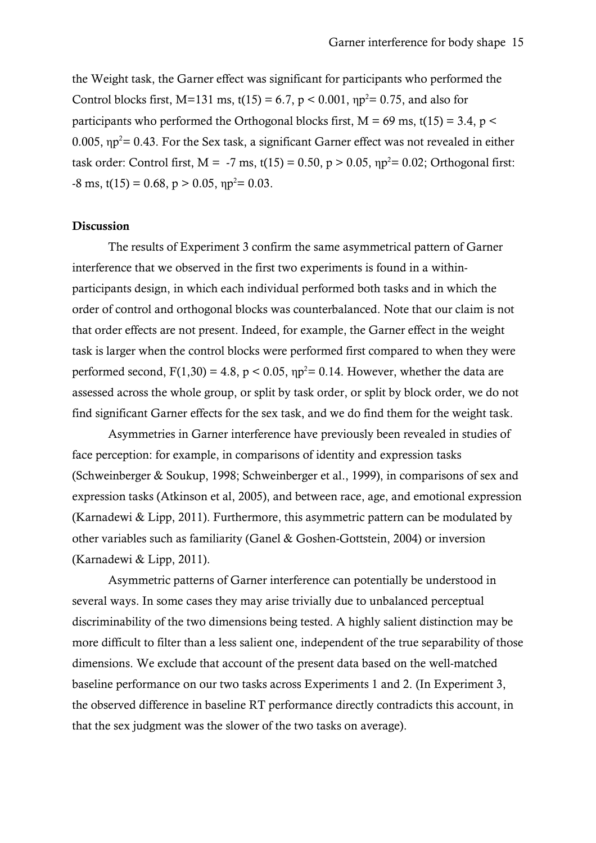the Weight task, the Garner effect was significant for participants who performed the Control blocks first, M=131 ms, t(15) = 6.7,  $p < 0.001$ ,  $np^2 = 0.75$ , and also for participants who performed the Orthogonal blocks first,  $M = 69$  ms, t(15) = 3.4, p < 0.005,  $np^2$  = 0.43. For the Sex task, a significant Garner effect was not revealed in either task order: Control first,  $M = -7$  ms, t(15) = 0.50,  $p > 0.05$ ,  $np^2 = 0.02$ ; Orthogonal first:  $-8 \text{ ms}, \, \text{t}(15) = 0.68, \, \text{p} > 0.05, \, \text{np}^2 = 0.03.$ 

# Discussion

The results of Experiment 3 confirm the same asymmetrical pattern of Garner interference that we observed in the first two experiments is found in a withinparticipants design, in which each individual performed both tasks and in which the order of control and orthogonal blocks was counterbalanced. Note that our claim is not that order effects are not present. Indeed, for example, the Garner effect in the weight task is larger when the control blocks were performed first compared to when they were performed second,  $F(1,30) = 4.8$ ,  $p < 0.05$ ,  $np^2 = 0.14$ . However, whether the data are assessed across the whole group, or split by task order, or split by block order, we do not find significant Garner effects for the sex task, and we do find them for the weight task.

Asymmetries in Garner interference have previously been revealed in studies of face perception: for example, in comparisons of identity and expression tasks (Schweinberger & Soukup, 1998; Schweinberger et al., 1999), in comparisons of sex and expression tasks (Atkinson et al, 2005), and between race, age, and emotional expression (Karnadewi & Lipp, 2011). Furthermore, this asymmetric pattern can be modulated by other variables such as familiarity (Ganel & Goshen-Gottstein, 2004) or inversion (Karnadewi & Lipp, 2011).

Asymmetric patterns of Garner interference can potentially be understood in several ways. In some cases they may arise trivially due to unbalanced perceptual discriminability of the two dimensions being tested. A highly salient distinction may be more difficult to filter than a less salient one, independent of the true separability of those dimensions. We exclude that account of the present data based on the well-matched baseline performance on our two tasks across Experiments 1 and 2. (In Experiment 3, the observed difference in baseline RT performance directly contradicts this account, in that the sex judgment was the slower of the two tasks on average).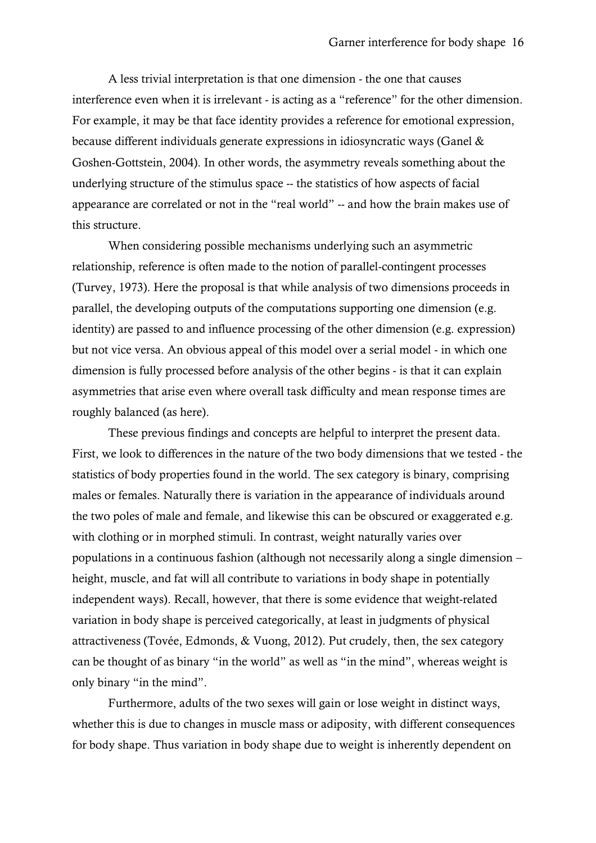A less trivial interpretation is that one dimension - the one that causes interference even when it is irrelevant - is acting as a "reference" for the other dimension. For example, it may be that face identity provides a reference for emotional expression, because different individuals generate expressions in idiosyncratic ways (Ganel & Goshen-Gottstein, 2004). In other words, the asymmetry reveals something about the underlying structure of the stimulus space -- the statistics of how aspects of facial appearance are correlated or not in the "real world" -- and how the brain makes use of this structure.

When considering possible mechanisms underlying such an asymmetric relationship, reference is often made to the notion of parallel-contingent processes (Turvey, 1973). Here the proposal is that while analysis of two dimensions proceeds in parallel, the developing outputs of the computations supporting one dimension (e.g. identity) are passed to and influence processing of the other dimension (e.g. expression) but not vice versa. An obvious appeal of this model over a serial model - in which one dimension is fully processed before analysis of the other begins - is that it can explain asymmetries that arise even where overall task difficulty and mean response times are roughly balanced (as here).

These previous findings and concepts are helpful to interpret the present data. First, we look to differences in the nature of the two body dimensions that we tested - the statistics of body properties found in the world. The sex category is binary, comprising males or females. Naturally there is variation in the appearance of individuals around the two poles of male and female, and likewise this can be obscured or exaggerated e.g. with clothing or in morphed stimuli. In contrast, weight naturally varies over populations in a continuous fashion (although not necessarily along a single dimension – height, muscle, and fat will all contribute to variations in body shape in potentially independent ways). Recall, however, that there is some evidence that weight-related variation in body shape is perceived categorically, at least in judgments of physical attractiveness (Tovée, Edmonds, & Vuong, 2012). Put crudely, then, the sex category can be thought of as binary "in the world" as well as "in the mind", whereas weight is only binary "in the mind".

Furthermore, adults of the two sexes will gain or lose weight in distinct ways, whether this is due to changes in muscle mass or adiposity, with different consequences for body shape. Thus variation in body shape due to weight is inherently dependent on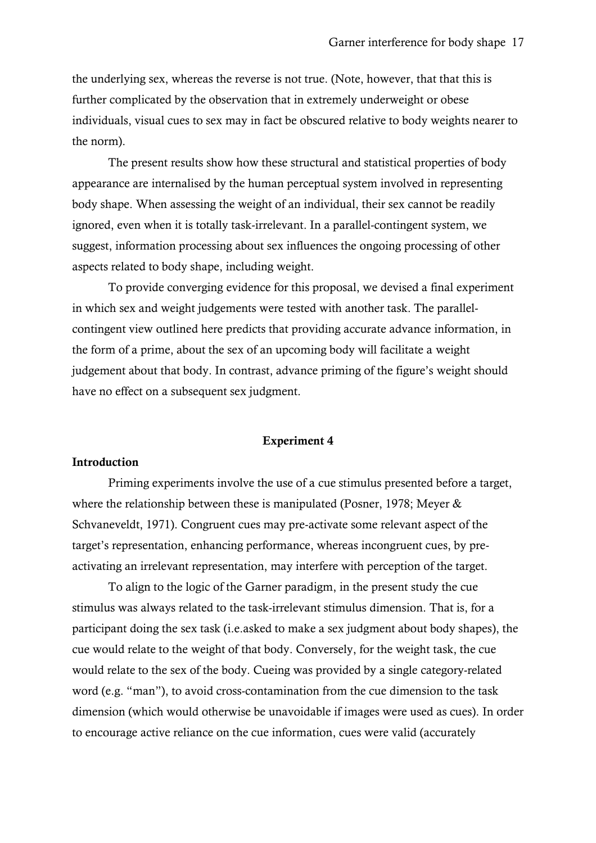the underlying sex, whereas the reverse is not true. (Note, however, that that this is further complicated by the observation that in extremely underweight or obese individuals, visual cues to sex may in fact be obscured relative to body weights nearer to the norm).

The present results show how these structural and statistical properties of body appearance are internalised by the human perceptual system involved in representing body shape. When assessing the weight of an individual, their sex cannot be readily ignored, even when it is totally task-irrelevant. In a parallel-contingent system, we suggest, information processing about sex influences the ongoing processing of other aspects related to body shape, including weight.

To provide converging evidence for this proposal, we devised a final experiment in which sex and weight judgements were tested with another task. The parallelcontingent view outlined here predicts that providing accurate advance information, in the form of a prime, about the sex of an upcoming body will facilitate a weight judgement about that body. In contrast, advance priming of the figure's weight should have no effect on a subsequent sex judgment.

#### Experiment 4

## Introduction

Priming experiments involve the use of a cue stimulus presented before a target, where the relationship between these is manipulated (Posner, 1978; Meyer & Schvaneveldt, 1971). Congruent cues may pre-activate some relevant aspect of the target's representation, enhancing performance, whereas incongruent cues, by preactivating an irrelevant representation, may interfere with perception of the target.

To align to the logic of the Garner paradigm, in the present study the cue stimulus was always related to the task-irrelevant stimulus dimension. That is, for a participant doing the sex task (i.e.asked to make a sex judgment about body shapes), the cue would relate to the weight of that body. Conversely, for the weight task, the cue would relate to the sex of the body. Cueing was provided by a single category-related word (e.g. "man"), to avoid cross-contamination from the cue dimension to the task dimension (which would otherwise be unavoidable if images were used as cues). In order to encourage active reliance on the cue information, cues were valid (accurately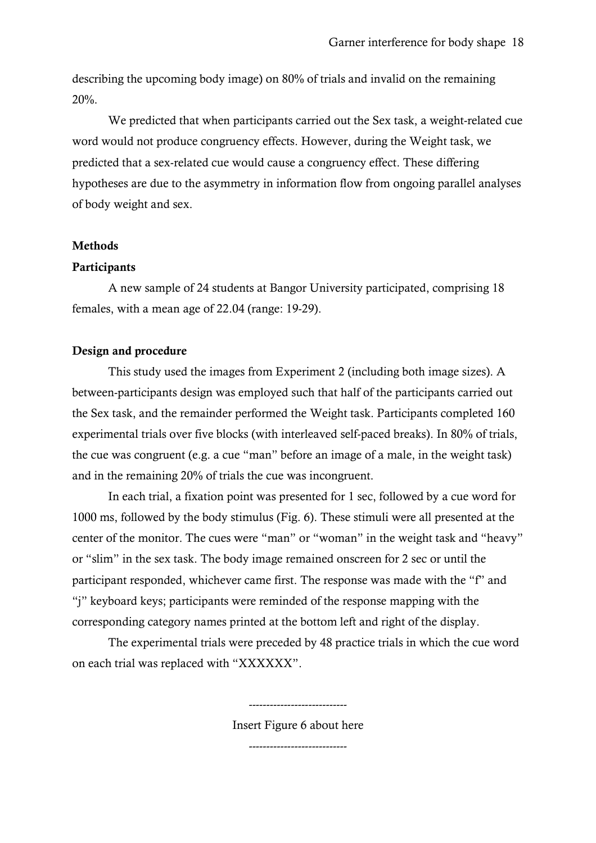describing the upcoming body image) on 80% of trials and invalid on the remaining 20%.

We predicted that when participants carried out the Sex task, a weight-related cue word would not produce congruency effects. However, during the Weight task, we predicted that a sex-related cue would cause a congruency effect. These differing hypotheses are due to the asymmetry in information flow from ongoing parallel analyses of body weight and sex.

# Methods

# **Participants**

A new sample of 24 students at Bangor University participated, comprising 18 females, with a mean age of 22.04 (range: 19-29).

# Design and procedure

This study used the images from Experiment 2 (including both image sizes). A between-participants design was employed such that half of the participants carried out the Sex task, and the remainder performed the Weight task. Participants completed 160 experimental trials over five blocks (with interleaved self-paced breaks). In 80% of trials, the cue was congruent (e.g. a cue "man" before an image of a male, in the weight task) and in the remaining 20% of trials the cue was incongruent.

In each trial, a fixation point was presented for 1 sec, followed by a cue word for 1000 ms, followed by the body stimulus (Fig. 6). These stimuli were all presented at the center of the monitor. The cues were "man" or "woman" in the weight task and "heavy" or "slim" in the sex task. The body image remained onscreen for 2 sec or until the participant responded, whichever came first. The response was made with the "f" and "j" keyboard keys; participants were reminded of the response mapping with the corresponding category names printed at the bottom left and right of the display.

The experimental trials were preceded by 48 practice trials in which the cue word on each trial was replaced with "XXXXXX".

Insert Figure 6 about here

----------------------------

----------------------------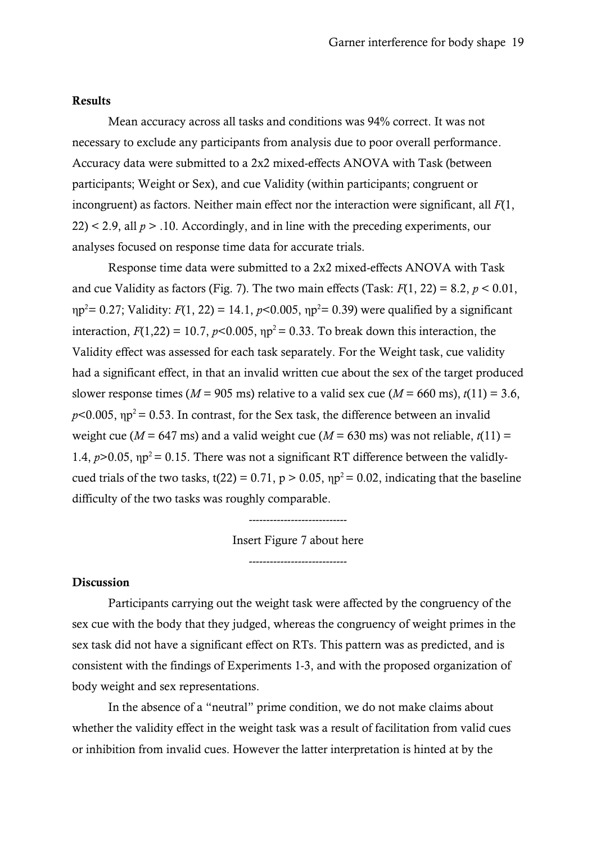#### Results

Mean accuracy across all tasks and conditions was 94% correct. It was not necessary to exclude any participants from analysis due to poor overall performance. Accuracy data were submitted to a 2x2 mixed-effects ANOVA with Task (between participants; Weight or Sex), and cue Validity (within participants; congruent or incongruent) as factors. Neither main effect nor the interaction were significant, all *F*(1,  $22$ ) < 2.9, all  $p > 0.10$ . Accordingly, and in line with the preceding experiments, our analyses focused on response time data for accurate trials.

Response time data were submitted to a 2x2 mixed-effects ANOVA with Task and cue Validity as factors (Fig. 7). The two main effects (Task:  $F(1, 22) = 8.2$ ,  $p < 0.01$ ,  $np^2$  = 0.27; Validity:  $F(1, 22) = 14.1, p<0.005, np^2$  = 0.39) were qualified by a significant interaction,  $F(1,22) = 10.7$ ,  $p<0.005$ ,  $np<sup>2</sup> = 0.33$ . To break down this interaction, the Validity effect was assessed for each task separately. For the Weight task, cue validity had a significant effect, in that an invalid written cue about the sex of the target produced slower response times ( $M = 905$  ms) relative to a valid sex cue ( $M = 660$  ms),  $t(11) = 3.6$ ,  $p$ <0.005,  $np^2$  = 0.53. In contrast, for the Sex task, the difference between an invalid weight cue ( $M = 647$  ms) and a valid weight cue ( $M = 630$  ms) was not reliable,  $t(11) =$ 1.4,  $p > 0.05$ ,  $np^2 = 0.15$ . There was not a significant RT difference between the validlycued trials of the two tasks, t(22) = 0.71,  $p > 0.05$ ,  $np^2 = 0.02$ , indicating that the baseline difficulty of the two tasks was roughly comparable.

> ---------------------------- Insert Figure 7 about here

> > ----------------------------

#### Discussion

Participants carrying out the weight task were affected by the congruency of the sex cue with the body that they judged, whereas the congruency of weight primes in the sex task did not have a significant effect on RTs. This pattern was as predicted, and is consistent with the findings of Experiments 1-3, and with the proposed organization of body weight and sex representations.

In the absence of a "neutral" prime condition, we do not make claims about whether the validity effect in the weight task was a result of facilitation from valid cues or inhibition from invalid cues. However the latter interpretation is hinted at by the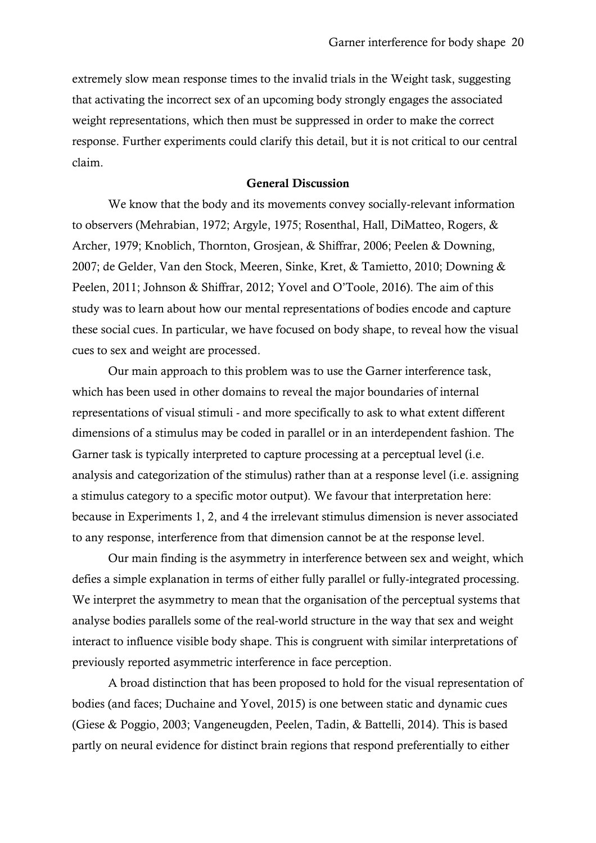extremely slow mean response times to the invalid trials in the Weight task, suggesting that activating the incorrect sex of an upcoming body strongly engages the associated weight representations, which then must be suppressed in order to make the correct response. Further experiments could clarify this detail, but it is not critical to our central claim.

## General Discussion

We know that the body and its movements convey socially-relevant information to observers (Mehrabian, 1972; Argyle, 1975; Rosenthal, Hall, DiMatteo, Rogers, & Archer, 1979; Knoblich, Thornton, Grosjean, & Shiffrar, 2006; Peelen & Downing, 2007; de Gelder, Van den Stock, Meeren, Sinke, Kret, & Tamietto, 2010; Downing & Peelen, 2011; Johnson & Shiffrar, 2012; Yovel and O'Toole, 2016). The aim of this study was to learn about how our mental representations of bodies encode and capture these social cues. In particular, we have focused on body shape, to reveal how the visual cues to sex and weight are processed.

Our main approach to this problem was to use the Garner interference task, which has been used in other domains to reveal the major boundaries of internal representations of visual stimuli - and more specifically to ask to what extent different dimensions of a stimulus may be coded in parallel or in an interdependent fashion. The Garner task is typically interpreted to capture processing at a perceptual level (i.e. analysis and categorization of the stimulus) rather than at a response level (i.e. assigning a stimulus category to a specific motor output). We favour that interpretation here: because in Experiments 1, 2, and 4 the irrelevant stimulus dimension is never associated to any response, interference from that dimension cannot be at the response level.

Our main finding is the asymmetry in interference between sex and weight, which defies a simple explanation in terms of either fully parallel or fully-integrated processing. We interpret the asymmetry to mean that the organisation of the perceptual systems that analyse bodies parallels some of the real-world structure in the way that sex and weight interact to influence visible body shape. This is congruent with similar interpretations of previously reported asymmetric interference in face perception.

A broad distinction that has been proposed to hold for the visual representation of bodies (and faces; Duchaine and Yovel, 2015) is one between static and dynamic cues (Giese & Poggio, 2003; Vangeneugden, Peelen, Tadin, & Battelli, 2014). This is based partly on neural evidence for distinct brain regions that respond preferentially to either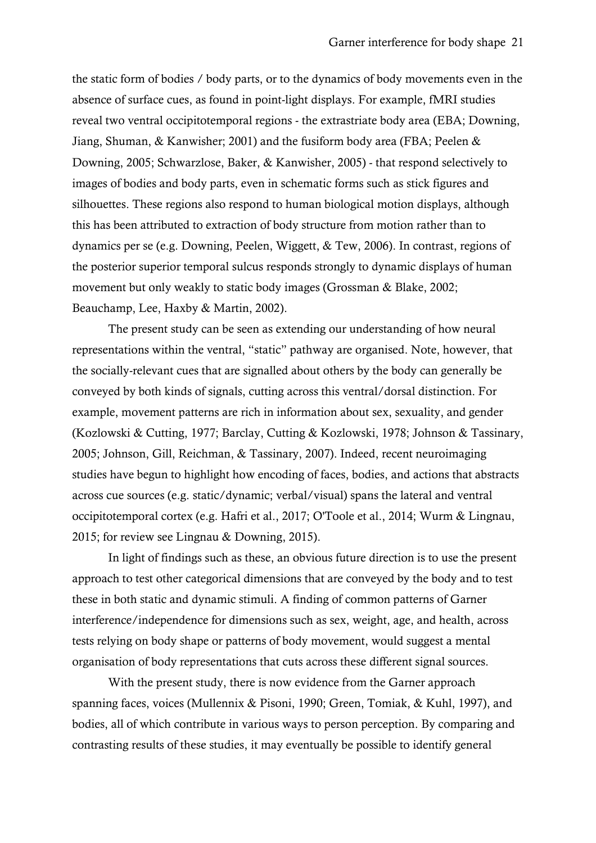the static form of bodies / body parts, or to the dynamics of body movements even in the absence of surface cues, as found in point-light displays. For example, fMRI studies reveal two ventral occipitotemporal regions - the extrastriate body area (EBA; Downing, Jiang, Shuman, & Kanwisher; 2001) and the fusiform body area (FBA; Peelen & Downing, 2005; Schwarzlose, Baker, & Kanwisher, 2005) - that respond selectively to images of bodies and body parts, even in schematic forms such as stick figures and silhouettes. These regions also respond to human biological motion displays, although this has been attributed to extraction of body structure from motion rather than to dynamics per se (e.g. Downing, Peelen, Wiggett, & Tew, 2006). In contrast, regions of the posterior superior temporal sulcus responds strongly to dynamic displays of human movement but only weakly to static body images (Grossman & Blake, 2002; Beauchamp, Lee, Haxby & Martin, 2002).

The present study can be seen as extending our understanding of how neural representations within the ventral, "static" pathway are organised. Note, however, that the socially-relevant cues that are signalled about others by the body can generally be conveyed by both kinds of signals, cutting across this ventral/dorsal distinction. For example, movement patterns are rich in information about sex, sexuality, and gender (Kozlowski & Cutting, 1977; Barclay, Cutting & Kozlowski, 1978; Johnson & Tassinary, 2005; Johnson, Gill, Reichman, & Tassinary, 2007). Indeed, recent neuroimaging studies have begun to highlight how encoding of faces, bodies, and actions that abstracts across cue sources (e.g. static/dynamic; verbal/visual) spans the lateral and ventral occipitotemporal cortex (e.g. Hafri et al., 2017; O'Toole et al., 2014; Wurm & Lingnau, 2015; for review see Lingnau & Downing, 2015).

In light of findings such as these, an obvious future direction is to use the present approach to test other categorical dimensions that are conveyed by the body and to test these in both static and dynamic stimuli. A finding of common patterns of Garner interference/independence for dimensions such as sex, weight, age, and health, across tests relying on body shape or patterns of body movement, would suggest a mental organisation of body representations that cuts across these different signal sources.

With the present study, there is now evidence from the Garner approach spanning faces, voices (Mullennix & Pisoni, 1990; Green, Tomiak, & Kuhl, 1997), and bodies, all of which contribute in various ways to person perception. By comparing and contrasting results of these studies, it may eventually be possible to identify general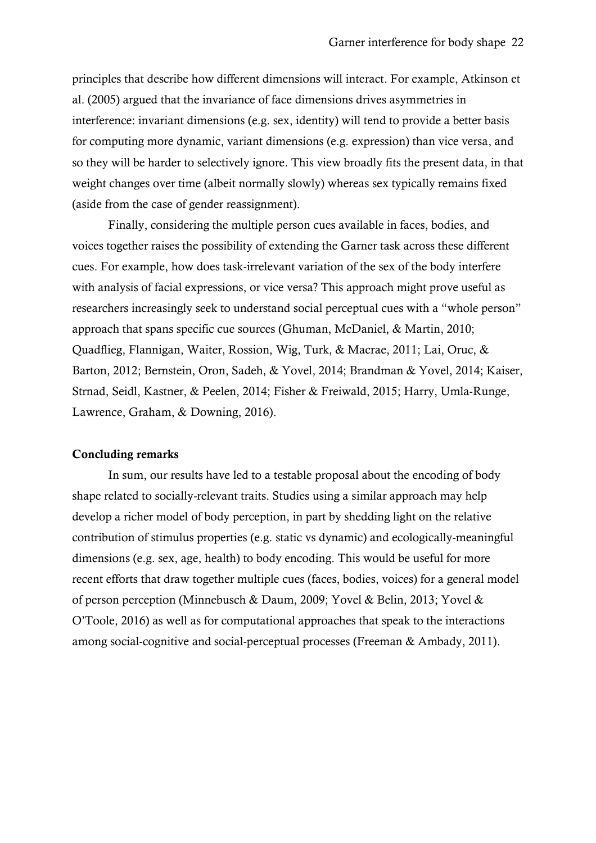principles that describe how different dimensions will interact. For example, Atkinson et al. (2005) argued that the invariance of face dimensions drives asymmetries in interference: invariant dimensions (e.g. sex, identity) will tend to provide a better basis for computing more dynamic, variant dimensions (e.g. expression) than vice versa, and so they will be harder to selectively ignore. This view broadly fits the present data, in that weight changes over time (albeit normally slowly) whereas sex typically remains fixed (aside from the case of gender reassignment).

Finally, considering the multiple person cues available in faces, bodies, and voices together raises the possibility of extending the Garner task across these different cues. For example, how does task-irrelevant variation of the sex of the body interfere with analysis of facial expressions, or vice versa? This approach might prove useful as researchers increasingly seek to understand social perceptual cues with a "whole person" approach that spans specific cue sources (Ghuman, McDaniel, & Martin, 2010; Quadflieg, Flannigan, Waiter, Rossion, Wig, Turk, & Macrae, 2011; Lai, Oruc, & Barton, 2012; Bernstein, Oron, Sadeh, & Yovel, 2014; Brandman & Yovel, 2014; Kaiser, Strnad, Seidl, Kastner, & Peelen, 2014; Fisher & Freiwald, 2015; Harry, Umla-Runge, Lawrence, Graham, & Downing, 2016).

## Concluding remarks

In sum, our results have led to a testable proposal about the encoding of body shape related to socially-relevant traits. Studies using a similar approach may help develop a richer model of body perception, in part by shedding light on the relative contribution of stimulus properties (e.g. static vs dynamic) and ecologically-meaningful dimensions (e.g. sex, age, health) to body encoding. This would be useful for more recent efforts that draw together multiple cues (faces, bodies, voices) for a general model of person perception (Minnebusch & Daum, 2009; Yovel & Belin, 2013; Yovel & O'Toole, 2016) as well as for computational approaches that speak to the interactions among social-cognitive and social-perceptual processes (Freeman & Ambady, 2011).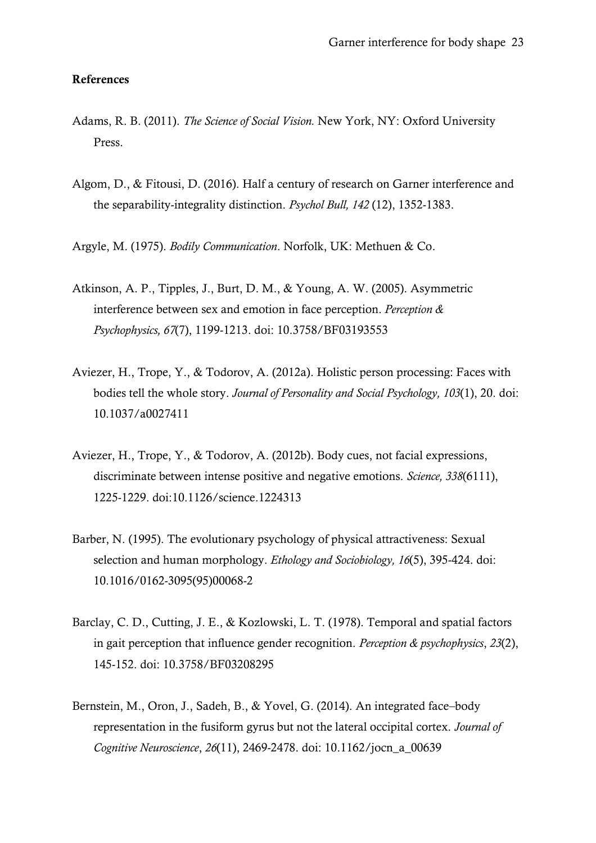#### References

- Adams, R. B. (2011). *The Science of Social Vision.* New York, NY: Oxford University Press.
- Algom, D., & Fitousi, D. (2016). Half a century of research on Garner interference and the separability-integrality distinction. *Psychol Bull, 142* (12), 1352-1383.
- Argyle, M. (1975). *Bodily Communication*. Norfolk, UK: Methuen & Co.
- Atkinson, A. P., Tipples, J., Burt, D. M., & Young, A. W. (2005). Asymmetric interference between sex and emotion in face perception. *Perception & Psychophysics, 67*(7), 1199-1213. doi: 10.3758/BF03193553
- Aviezer, H., Trope, Y., & Todorov, A. (2012a). Holistic person processing: Faces with bodies tell the whole story. *Journal of Personality and Social Psychology, 103*(1), 20. doi: 10.1037/a0027411
- Aviezer, H., Trope, Y., & Todorov, A. (2012b). Body cues, not facial expressions, discriminate between intense positive and negative emotions. *Science, 338*(6111), 1225-1229. doi:10.1126/science.1224313
- Barber, N. (1995). The evolutionary psychology of physical attractiveness: Sexual selection and human morphology. *Ethology and Sociobiology, 16*(5), 395-424. doi: 10.1016/0162-3095(95)00068-2
- Barclay, C. D., Cutting, J. E., & Kozlowski, L. T. (1978). Temporal and spatial factors in gait perception that influence gender recognition. *Perception & psychophysics*, *23*(2), 145-152. doi: 10.3758/BF03208295
- Bernstein, M., Oron, J., Sadeh, B., & Yovel, G. (2014). An integrated face–body representation in the fusiform gyrus but not the lateral occipital cortex. *Journal of Cognitive Neuroscience*, *26*(11), 2469-2478. doi: 10.1162/jocn\_a\_00639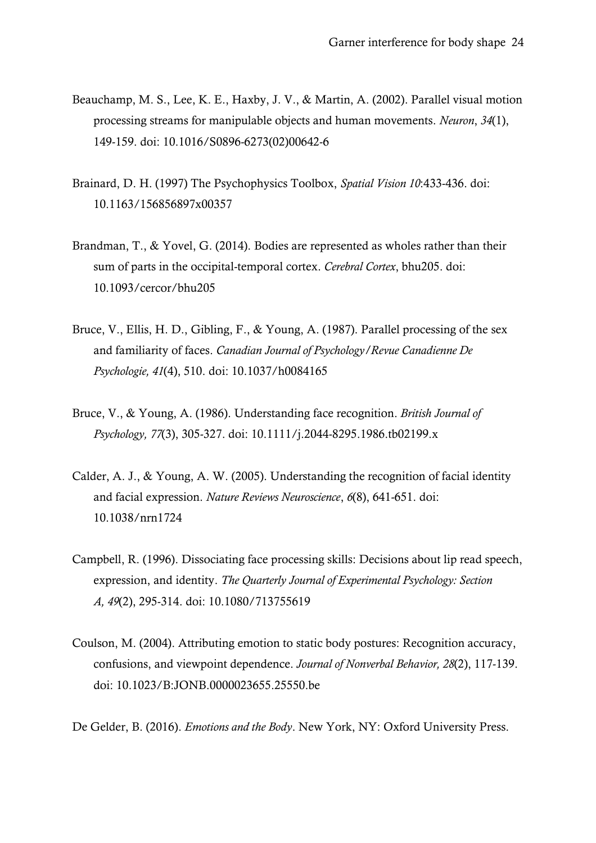- Beauchamp, M. S., Lee, K. E., Haxby, J. V., & Martin, A. (2002). Parallel visual motion processing streams for manipulable objects and human movements. *Neuron*, *34*(1), 149-159. doi: 10.1016/S0896-6273(02)00642-6
- Brainard, D. H. (1997) The Psychophysics Toolbox, *Spatial Vision 10*:433-436. doi: 10.1163/156856897x00357
- Brandman, T., & Yovel, G. (2014). Bodies are represented as wholes rather than their sum of parts in the occipital-temporal cortex. *Cerebral Cortex*, bhu205. doi: 10.1093/cercor/bhu205
- Bruce, V., Ellis, H. D., Gibling, F., & Young, A. (1987). Parallel processing of the sex and familiarity of faces. *Canadian Journal of Psychology/Revue Canadienne De Psychologie, 41*(4), 510. doi: 10.1037/h0084165
- Bruce, V., & Young, A. (1986). Understanding face recognition. *British Journal of Psychology, 77*(3), 305-327. doi: 10.1111/j.2044-8295.1986.tb02199.x
- Calder, A. J., & Young, A. W. (2005). Understanding the recognition of facial identity and facial expression. *Nature Reviews Neuroscience*, *6*(8), 641-651. doi: 10.1038/nrn1724
- Campbell, R. (1996). Dissociating face processing skills: Decisions about lip read speech, expression, and identity. *The Quarterly Journal of Experimental Psychology: Section A, 49*(2), 295-314. doi: 10.1080/713755619
- Coulson, M. (2004). Attributing emotion to static body postures: Recognition accuracy, confusions, and viewpoint dependence. *Journal of Nonverbal Behavior, 28*(2), 117-139. doi: 10.1023/B:JONB.0000023655.25550.be

De Gelder, B. (2016). *Emotions and the Body*. New York, NY: Oxford University Press.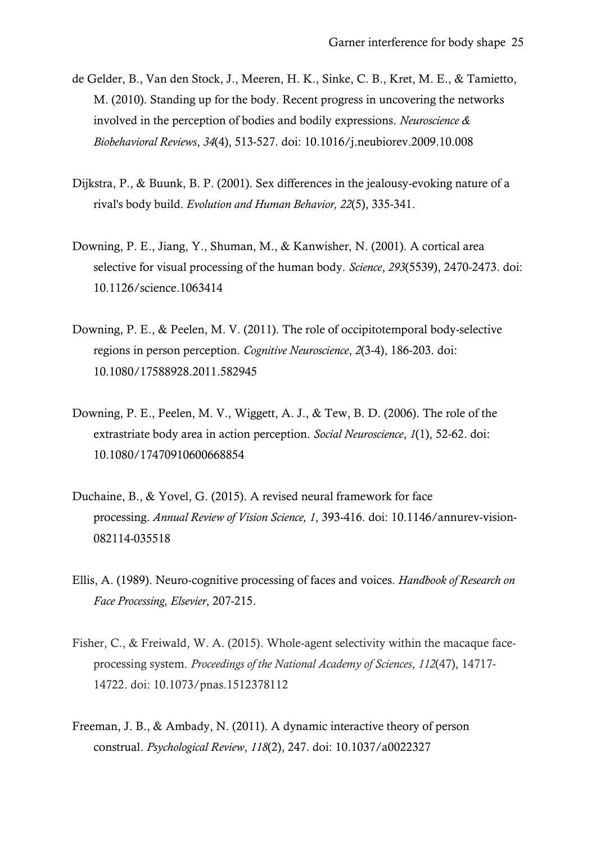- de Gelder, B., Van den Stock, J., Meeren, H. K., Sinke, C. B., Kret, M. E., & Tamietto, M. (2010). Standing up for the body. Recent progress in uncovering the networks involved in the perception of bodies and bodily expressions. *Neuroscience & Biobehavioral Reviews*, *34*(4), 513-527. doi: 10.1016/j.neubiorev.2009.10.008
- Dijkstra, P., & Buunk, B. P. (2001). Sex differences in the jealousy-evoking nature of a rival's body build. *Evolution and Human Behavior, 22*(5), 335-341.
- Downing, P. E., Jiang, Y., Shuman, M., & Kanwisher, N. (2001). A cortical area selective for visual processing of the human body. *Science*, *293*(5539), 2470-2473. doi: 10.1126/science.1063414
- Downing, P. E., & Peelen, M. V. (2011). The role of occipitotemporal body-selective regions in person perception. *Cognitive Neuroscience*, *2*(3-4), 186-203. doi: 10.1080/17588928.2011.582945
- Downing, P. E., Peelen, M. V., Wiggett, A. J., & Tew, B. D. (2006). The role of the extrastriate body area in action perception. *Social Neuroscience*, *1*(1), 52-62. doi: 10.1080/17470910600668854
- Duchaine, B., & Yovel, G. (2015). A revised neural framework for face processing. *Annual Review of Vision Science, 1*, 393-416. doi: 10.1146/annurev-vision-082114-035518
- Ellis, A. (1989). Neuro-cognitive processing of faces and voices. *Handbook of Research on Face Processing, Elsevier*, 207-215.
- Fisher, C., & Freiwald, W. A. (2015). Whole-agent selectivity within the macaque faceprocessing system. *Proceedings of the National Academy of Sciences*, *112*(47), 14717- 14722. doi: 10.1073/pnas.1512378112
- Freeman, J. B., & Ambady, N. (2011). A dynamic interactive theory of person construal. *Psychological Review*, *118*(2), 247. doi: 10.1037/a0022327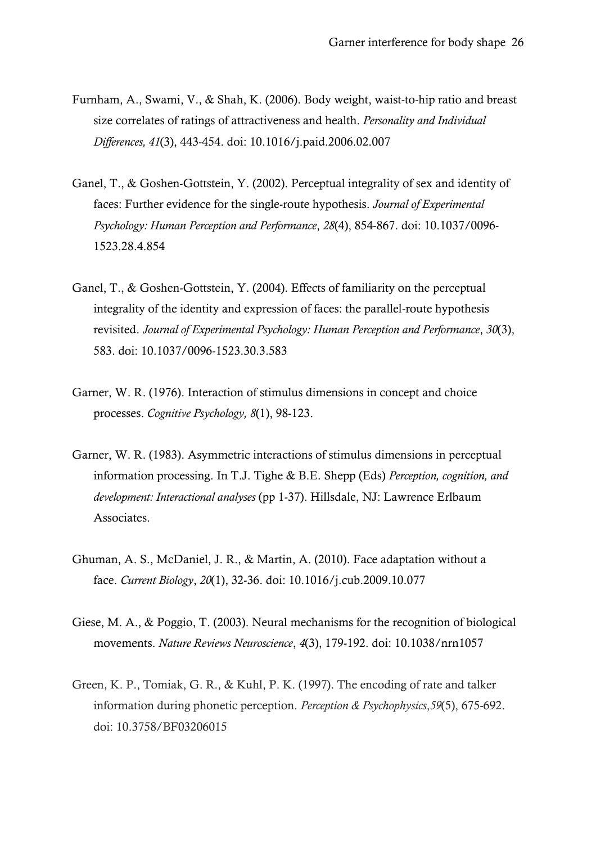- Furnham, A., Swami, V., & Shah, K. (2006). Body weight, waist-to-hip ratio and breast size correlates of ratings of attractiveness and health. *Personality and Individual Differences, 41*(3), 443-454. doi: 10.1016/j.paid.2006.02.007
- Ganel, T., & Goshen-Gottstein, Y. (2002). Perceptual integrality of sex and identity of faces: Further evidence for the single-route hypothesis. *Journal of Experimental Psychology: Human Perception and Performance*, *28*(4), 854-867. doi: 10.1037/0096- 1523.28.4.854
- Ganel, T., & Goshen-Gottstein, Y. (2004). Effects of familiarity on the perceptual integrality of the identity and expression of faces: the parallel-route hypothesis revisited. *Journal of Experimental Psychology: Human Perception and Performance*, *30*(3), 583. doi: 10.1037/0096-1523.30.3.583
- Garner, W. R. (1976). Interaction of stimulus dimensions in concept and choice processes. *Cognitive Psychology, 8*(1), 98-123.
- Garner, W. R. (1983). Asymmetric interactions of stimulus dimensions in perceptual information processing. In T.J. Tighe & B.E. Shepp (Eds) *Perception, cognition, and development: Interactional analyses* (pp 1-37). Hillsdale, NJ: Lawrence Erlbaum Associates.
- Ghuman, A. S., McDaniel, J. R., & Martin, A. (2010). Face adaptation without a face. *Current Biology*, *20*(1), 32-36. doi: 10.1016/j.cub.2009.10.077
- Giese, M. A., & Poggio, T. (2003). Neural mechanisms for the recognition of biological movements. *Nature Reviews Neuroscience*, *4*(3), 179-192. doi: 10.1038/nrn1057
- Green, K. P., Tomiak, G. R., & Kuhl, P. K. (1997). The encoding of rate and talker information during phonetic perception. *Perception & Psychophysics*,*59*(5), 675-692. doi: 10.3758/BF03206015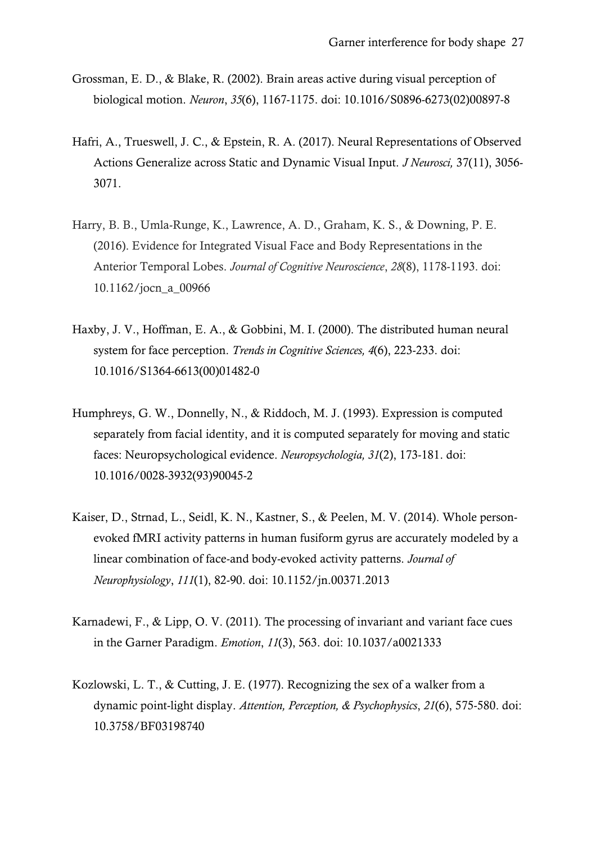- Grossman, E. D., & Blake, R. (2002). Brain areas active during visual perception of biological motion. *Neuron*, *35*(6), 1167-1175. doi: 10.1016/S0896-6273(02)00897-8
- Hafri, A., Trueswell, J. C., & Epstein, R. A. (2017). Neural Representations of Observed Actions Generalize across Static and Dynamic Visual Input. *J Neurosci,* 37(11), 3056- 3071.
- Harry, B. B., Umla-Runge, K., Lawrence, A. D., Graham, K. S., & Downing, P. E. (2016). Evidence for Integrated Visual Face and Body Representations in the Anterior Temporal Lobes. *Journal of Cognitive Neuroscience*, *28*(8), 1178-1193. doi: 10.1162/jocn\_a\_00966
- Haxby, J. V., Hoffman, E. A., & Gobbini, M. I. (2000). The distributed human neural system for face perception. *Trends in Cognitive Sciences, 4*(6), 223-233. doi: 10.1016/S1364-6613(00)01482-0
- Humphreys, G. W., Donnelly, N., & Riddoch, M. J. (1993). Expression is computed separately from facial identity, and it is computed separately for moving and static faces: Neuropsychological evidence. *Neuropsychologia, 31*(2), 173-181. doi: 10.1016/0028-3932(93)90045-2
- Kaiser, D., Strnad, L., Seidl, K. N., Kastner, S., & Peelen, M. V. (2014). Whole personevoked fMRI activity patterns in human fusiform gyrus are accurately modeled by a linear combination of face-and body-evoked activity patterns. *Journal of Neurophysiology*, *111*(1), 82-90. doi: 10.1152/jn.00371.2013
- Karnadewi, F., & Lipp, O. V. (2011). The processing of invariant and variant face cues in the Garner Paradigm. *Emotion*, *11*(3), 563. doi: 10.1037/a0021333
- Kozlowski, L. T., & Cutting, J. E. (1977). Recognizing the sex of a walker from a dynamic point-light display. *Attention, Perception, & Psychophysics*, *21*(6), 575-580. doi: 10.3758/BF03198740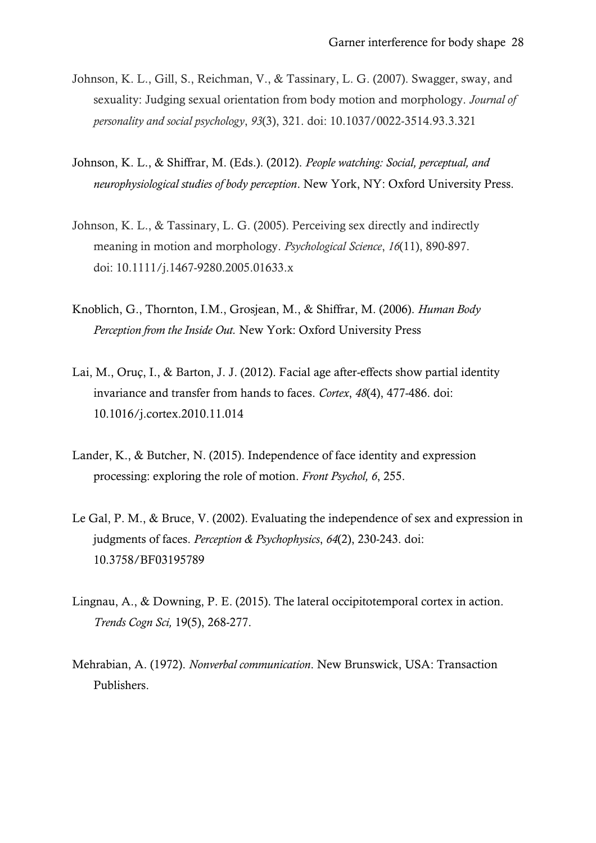- Johnson, K. L., Gill, S., Reichman, V., & Tassinary, L. G. (2007). Swagger, sway, and sexuality: Judging sexual orientation from body motion and morphology. *Journal of personality and social psychology*, *93*(3), 321. doi: 10.1037/0022-3514.93.3.321
- Johnson, K. L., & Shiffrar, M. (Eds.). (2012). *People watching: Social, perceptual, and neurophysiological studies of body perception*. New York, NY: Oxford University Press.
- Johnson, K. L., & Tassinary, L. G. (2005). Perceiving sex directly and indirectly meaning in motion and morphology. *Psychological Science*, *16*(11), 890-897. doi: 10.1111/j.1467-9280.2005.01633.x
- Knoblich, G., Thornton, I.M., Grosjean, M., & Shiffrar, M. (2006). *Human Body Perception from the Inside Out.* New York: Oxford University Press
- Lai, M., Oruç, I., & Barton, J. J. (2012). Facial age after-effects show partial identity invariance and transfer from hands to faces. *Cortex*, *48*(4), 477-486. doi: 10.1016/j.cortex.2010.11.014
- Lander, K., & Butcher, N. (2015). Independence of face identity and expression processing: exploring the role of motion. *Front Psychol, 6*, 255.
- Le Gal, P. M., & Bruce, V. (2002). Evaluating the independence of sex and expression in judgments of faces. *Perception & Psychophysics*, *64*(2), 230-243. doi: 10.3758/BF03195789
- Lingnau, A., & Downing, P. E. (2015). The lateral occipitotemporal cortex in action. *Trends Cogn Sci,* 19(5), 268-277.
- Mehrabian, A. (1972). *Nonverbal communication*. New Brunswick, USA: Transaction Publishers.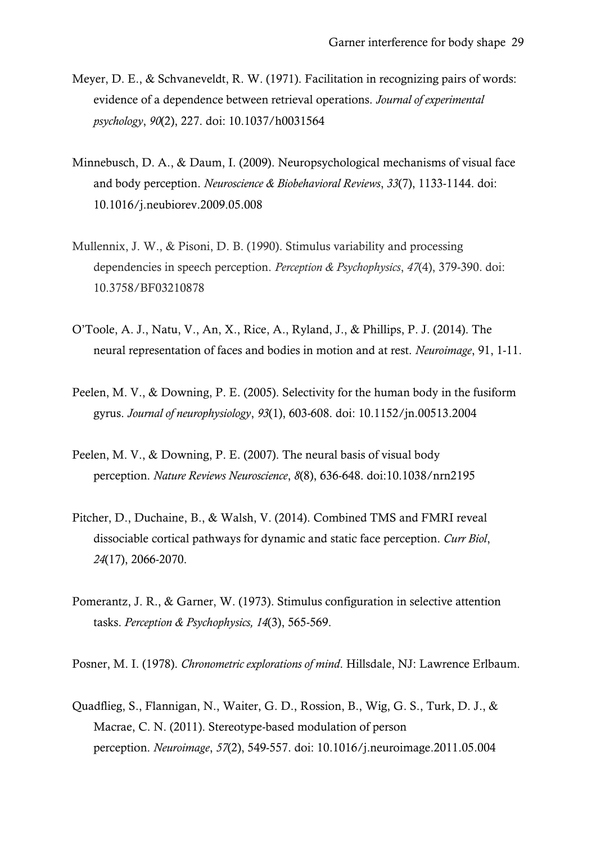- Meyer, D. E., & Schvaneveldt, R. W. (1971). Facilitation in recognizing pairs of words: evidence of a dependence between retrieval operations. *Journal of experimental psychology*, *90*(2), 227. doi: 10.1037/h0031564
- Minnebusch, D. A., & Daum, I. (2009). Neuropsychological mechanisms of visual face and body perception. *Neuroscience & Biobehavioral Reviews*, *33*(7), 1133-1144. doi: 10.1016/j.neubiorev.2009.05.008
- Mullennix, J. W., & Pisoni, D. B. (1990). Stimulus variability and processing dependencies in speech perception. *Perception & Psychophysics*, *47*(4), 379-390. doi: 10.3758/BF03210878
- O'Toole, A. J., Natu, V., An, X., Rice, A., Ryland, J., & Phillips, P. J. (2014). The neural representation of faces and bodies in motion and at rest. *Neuroimage*, 91, 1-11.
- Peelen, M. V., & Downing, P. E. (2005). Selectivity for the human body in the fusiform gyrus. *Journal of neurophysiology*, *93*(1), 603-608. doi: 10.1152/jn.00513.2004
- Peelen, M. V., & Downing, P. E. (2007). The neural basis of visual body perception. *Nature Reviews Neuroscience*, *8*(8), 636-648. doi:10.1038/nrn2195
- Pitcher, D., Duchaine, B., & Walsh, V. (2014). Combined TMS and FMRI reveal dissociable cortical pathways for dynamic and static face perception. *Curr Biol*, *24*(17), 2066-2070.
- Pomerantz, J. R., & Garner, W. (1973). Stimulus configuration in selective attention tasks. *Perception & Psychophysics, 14*(3), 565-569.
- Posner, M. I. (1978). *Chronometric explorations of mind*. Hillsdale, NJ: Lawrence Erlbaum.
- Quadflieg, S., Flannigan, N., Waiter, G. D., Rossion, B., Wig, G. S., Turk, D. J., & Macrae, C. N. (2011). Stereotype-based modulation of person perception. *Neuroimage*, *57*(2), 549-557. doi: 10.1016/j.neuroimage.2011.05.004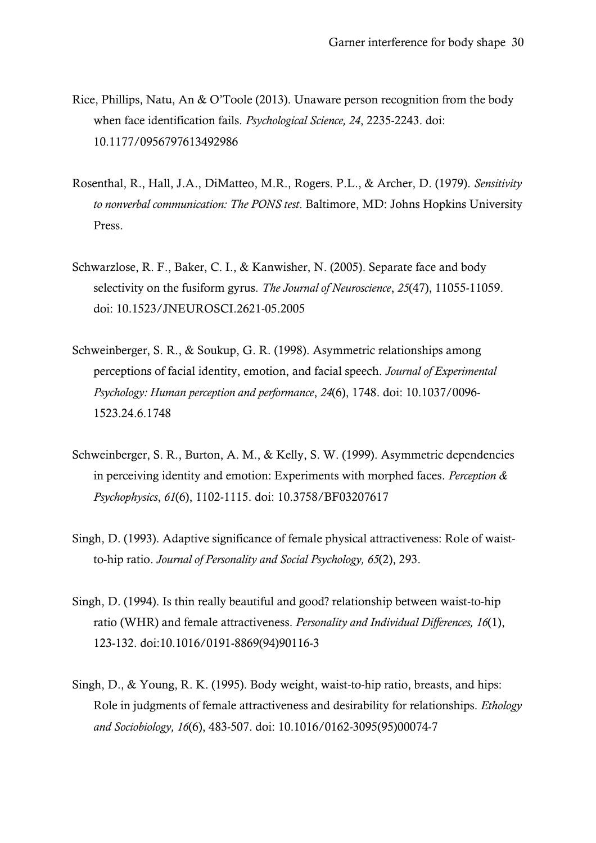- Rice, Phillips, Natu, An & O'Toole (2013). Unaware person recognition from the body when face identification fails. *Psychological Science, 24*, 2235-2243. doi: 10.1177/0956797613492986
- Rosenthal, R., Hall, J.A., DiMatteo, M.R., Rogers. P.L., & Archer, D. (1979). *Sensitivity to nonverbal communication: The PONS test*. Baltimore, MD: Johns Hopkins University Press.
- Schwarzlose, R. F., Baker, C. I., & Kanwisher, N. (2005). Separate face and body selectivity on the fusiform gyrus. *The Journal of Neuroscience*, *25*(47), 11055-11059. doi: 10.1523/JNEUROSCI.2621-05.2005
- Schweinberger, S. R., & Soukup, G. R. (1998). Asymmetric relationships among perceptions of facial identity, emotion, and facial speech. *Journal of Experimental Psychology: Human perception and performance*, *24*(6), 1748. doi: 10.1037/0096- 1523.24.6.1748
- Schweinberger, S. R., Burton, A. M., & Kelly, S. W. (1999). Asymmetric dependencies in perceiving identity and emotion: Experiments with morphed faces. *Perception & Psychophysics*, *61*(6), 1102-1115. doi: 10.3758/BF03207617
- Singh, D. (1993). Adaptive significance of female physical attractiveness: Role of waistto-hip ratio. *Journal of Personality and Social Psychology, 65*(2), 293.
- Singh, D. (1994). Is thin really beautiful and good? relationship between waist-to-hip ratio (WHR) and female attractiveness. *Personality and Individual Differences, 16*(1), 123-132. doi:10.1016/0191-8869(94)90116-3
- Singh, D., & Young, R. K. (1995). Body weight, waist-to-hip ratio, breasts, and hips: Role in judgments of female attractiveness and desirability for relationships. *Ethology and Sociobiology, 16*(6), 483-507. doi: 10.1016/0162-3095(95)00074-7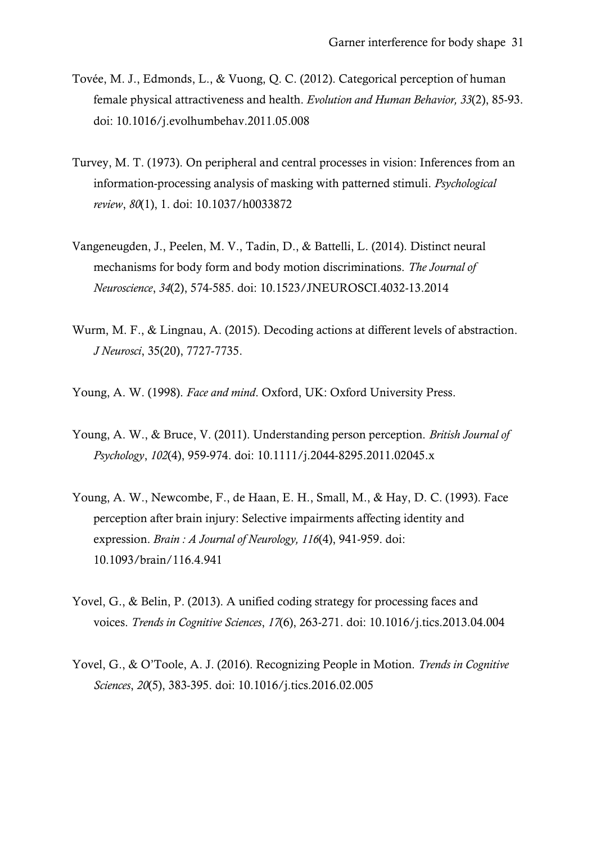- Tovée, M. J., Edmonds, L., & Vuong, Q. C. (2012). Categorical perception of human female physical attractiveness and health. *Evolution and Human Behavior, 33*(2), 85-93. doi: 10.1016/j.evolhumbehav.2011.05.008
- Turvey, M. T. (1973). On peripheral and central processes in vision: Inferences from an information-processing analysis of masking with patterned stimuli. *Psychological review*, *80*(1), 1. doi: 10.1037/h0033872
- Vangeneugden, J., Peelen, M. V., Tadin, D., & Battelli, L. (2014). Distinct neural mechanisms for body form and body motion discriminations. *The Journal of Neuroscience*, *34*(2), 574-585. doi: 10.1523/JNEUROSCI.4032-13.2014
- Wurm, M. F., & Lingnau, A. (2015). Decoding actions at different levels of abstraction. *J Neurosci*, 35(20), 7727-7735.
- Young, A. W. (1998). *Face and mind*. Oxford, UK: Oxford University Press.
- Young, A. W., & Bruce, V. (2011). Understanding person perception. *British Journal of Psychology*, *102*(4), 959-974. doi: 10.1111/j.2044-8295.2011.02045.x
- Young, A. W., Newcombe, F., de Haan, E. H., Small, M., & Hay, D. C. (1993). Face perception after brain injury: Selective impairments affecting identity and expression. *Brain : A Journal of Neurology, 116*(4), 941-959. doi: 10.1093/brain/116.4.941
- Yovel, G., & Belin, P. (2013). A unified coding strategy for processing faces and voices. *Trends in Cognitive Sciences*, *17*(6), 263-271. doi: 10.1016/j.tics.2013.04.004
- Yovel, G., & O'Toole, A. J. (2016). Recognizing People in Motion. *Trends in Cognitive Sciences*, *20*(5), 383-395. doi: 10.1016/j.tics.2016.02.005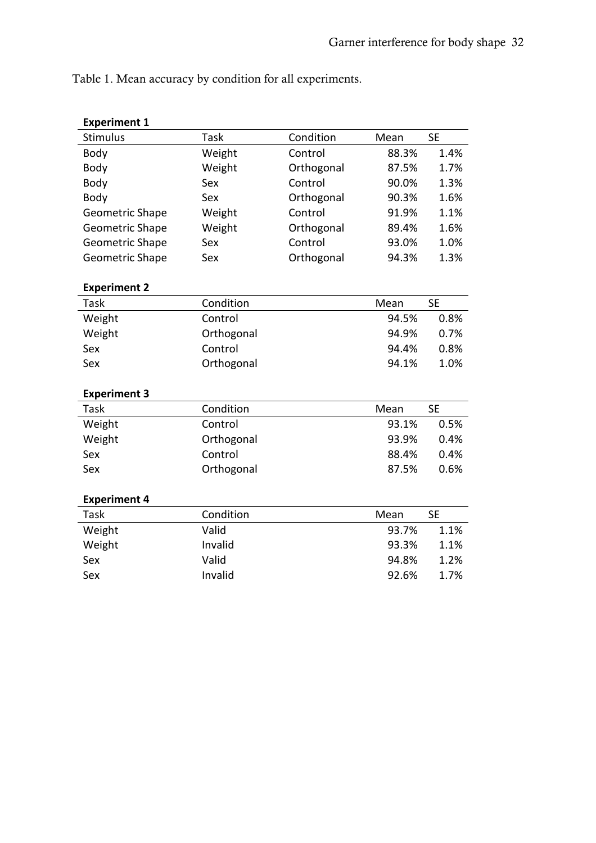Table 1. Mean accuracy by condition for all experiments.

| <b>Experiment 1</b>    |             |            |       |           |
|------------------------|-------------|------------|-------|-----------|
| <b>Stimulus</b>        | <b>Task</b> | Condition  | Mean  | <b>SE</b> |
| Body                   | Weight      | Control    | 88.3% | 1.4%      |
| Body                   | Weight      | Orthogonal | 87.5% | 1.7%      |
| Body                   | Sex         | Control    | 90.0% | 1.3%      |
| Body                   | Sex         | Orthogonal | 90.3% | 1.6%      |
| <b>Geometric Shape</b> | Weight      | Control    | 91.9% | 1.1%      |
| <b>Geometric Shape</b> | Weight      | Orthogonal | 89.4% | 1.6%      |
| <b>Geometric Shape</b> | Sex         | Control    | 93.0% | 1.0%      |
| Geometric Shape        | Sex         | Orthogonal | 94.3% | 1.3%      |
| <b>Experiment 2</b>    |             |            |       |           |
| Task                   | Condition   |            | Mean  | <b>SE</b> |
| Weight                 | Control     |            | 94.5% | 0.8%      |
| Weight                 | Orthogonal  |            | 94.9% | 0.7%      |
| Sex                    | Control     |            | 94.4% | 0.8%      |
| Sex                    | Orthogonal  |            | 94.1% | 1.0%      |
| <b>Experiment 3</b>    |             |            |       |           |
| Task                   | Condition   |            | Mean  | <b>SE</b> |
| Weight                 | Control     |            | 93.1% | 0.5%      |
| Weight                 | Orthogonal  |            | 93.9% | 0.4%      |
| Sex                    | Control     |            | 88.4% | 0.4%      |
| Sex                    | Orthogonal  |            | 87.5% | 0.6%      |
| <b>Experiment 4</b>    |             |            |       |           |
| Task                   | Condition   |            | Mean  | <b>SE</b> |
| Weight                 | Valid       |            | 93.7% | 1.1%      |
| Weight                 | Invalid     |            | 93.3% | 1.1%      |
| Sex                    | Valid       |            | 94.8% | 1.2%      |
|                        | Invalid     |            | 92.6% | 1.7%      |